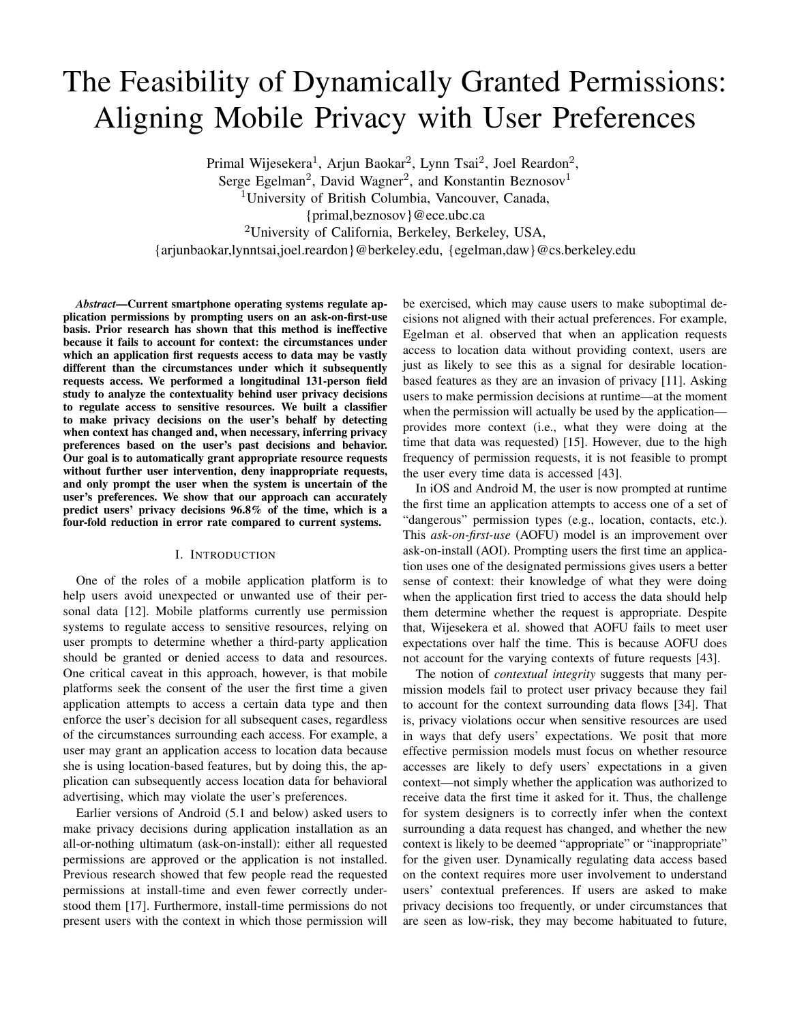# The Feasibility of Dynamically Granted Permissions: Aligning Mobile Privacy with User Preferences

Primal Wijesekera<sup>1</sup>, Arjun Baokar<sup>2</sup>, Lynn Tsai<sup>2</sup>, Joel Reardon<sup>2</sup>,

Serge Egelman<sup>2</sup>, David Wagner<sup>2</sup>, and Konstantin Beznosov<sup>1</sup>

<sup>1</sup>University of British Columbia, Vancouver, Canada,

{primal,beznosov}@ece.ubc.ca

<sup>2</sup>University of California, Berkeley, Berkeley, USA,

{arjunbaokar,lynntsai,joel.reardon}@berkeley.edu, {egelman,daw}@cs.berkeley.edu

*Abstract*—Current smartphone operating systems regulate application permissions by prompting users on an ask-on-first-use basis. Prior research has shown that this method is ineffective because it fails to account for context: the circumstances under which an application first requests access to data may be vastly different than the circumstances under which it subsequently requests access. We performed a longitudinal 131-person field study to analyze the contextuality behind user privacy decisions to regulate access to sensitive resources. We built a classifier to make privacy decisions on the user's behalf by detecting when context has changed and, when necessary, inferring privacy preferences based on the user's past decisions and behavior. Our goal is to automatically grant appropriate resource requests without further user intervention, deny inappropriate requests, and only prompt the user when the system is uncertain of the user's preferences. We show that our approach can accurately predict users' privacy decisions 96.8% of the time, which is a four-fold reduction in error rate compared to current systems.

#### I. INTRODUCTION

One of the roles of a mobile application platform is to help users avoid unexpected or unwanted use of their personal data [12]. Mobile platforms currently use permission systems to regulate access to sensitive resources, relying on user prompts to determine whether a third-party application should be granted or denied access to data and resources. One critical caveat in this approach, however, is that mobile platforms seek the consent of the user the first time a given application attempts to access a certain data type and then enforce the user's decision for all subsequent cases, regardless of the circumstances surrounding each access. For example, a user may grant an application access to location data because she is using location-based features, but by doing this, the application can subsequently access location data for behavioral advertising, which may violate the user's preferences.

Earlier versions of Android (5.1 and below) asked users to make privacy decisions during application installation as an all-or-nothing ultimatum (ask-on-install): either all requested permissions are approved or the application is not installed. Previous research showed that few people read the requested permissions at install-time and even fewer correctly understood them [17]. Furthermore, install-time permissions do not present users with the context in which those permission will

be exercised, which may cause users to make suboptimal decisions not aligned with their actual preferences. For example, Egelman et al. observed that when an application requests access to location data without providing context, users are just as likely to see this as a signal for desirable locationbased features as they are an invasion of privacy [11]. Asking users to make permission decisions at runtime—at the moment when the permission will actually be used by the application provides more context (i.e., what they were doing at the time that data was requested) [15]. However, due to the high frequency of permission requests, it is not feasible to prompt the user every time data is accessed [43].

In iOS and Android M, the user is now prompted at runtime the first time an application attempts to access one of a set of "dangerous" permission types (e.g., location, contacts, etc.). This *ask-on-first-use* (AOFU) model is an improvement over ask-on-install (AOI). Prompting users the first time an application uses one of the designated permissions gives users a better sense of context: their knowledge of what they were doing when the application first tried to access the data should help them determine whether the request is appropriate. Despite that, Wijesekera et al. showed that AOFU fails to meet user expectations over half the time. This is because AOFU does not account for the varying contexts of future requests [43].

The notion of *contextual integrity* suggests that many permission models fail to protect user privacy because they fail to account for the context surrounding data flows [34]. That is, privacy violations occur when sensitive resources are used in ways that defy users' expectations. We posit that more effective permission models must focus on whether resource accesses are likely to defy users' expectations in a given context—not simply whether the application was authorized to receive data the first time it asked for it. Thus, the challenge for system designers is to correctly infer when the context surrounding a data request has changed, and whether the new context is likely to be deemed "appropriate" or "inappropriate" for the given user. Dynamically regulating data access based on the context requires more user involvement to understand users' contextual preferences. If users are asked to make privacy decisions too frequently, or under circumstances that are seen as low-risk, they may become habituated to future,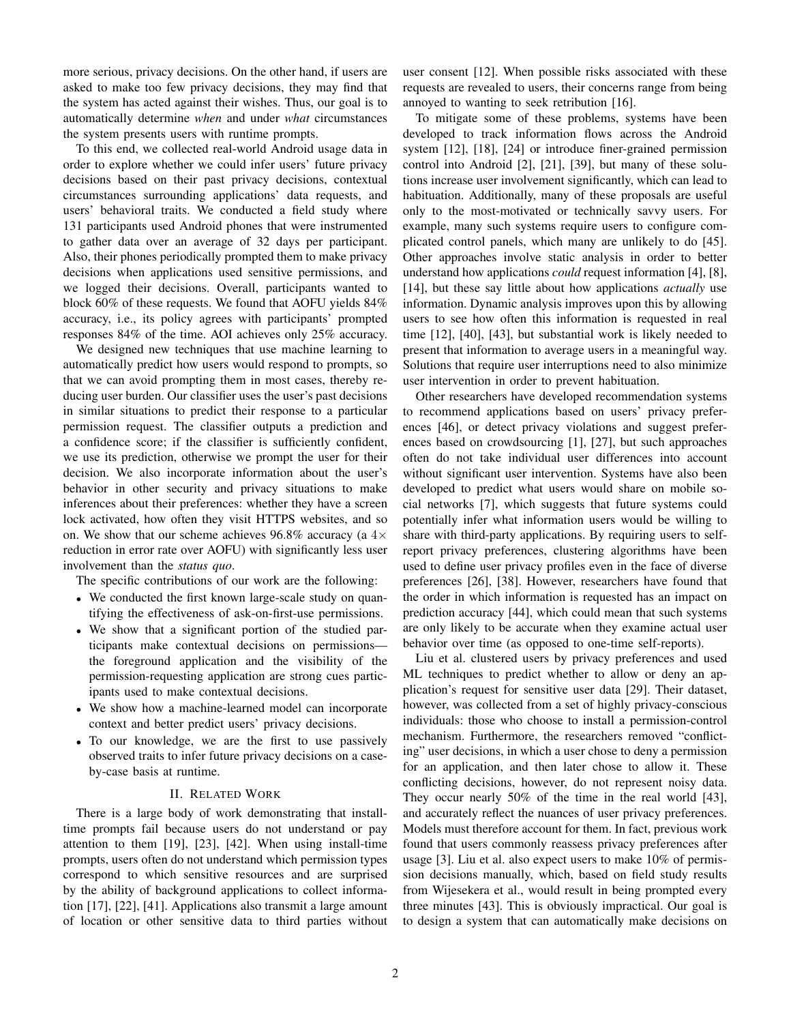more serious, privacy decisions. On the other hand, if users are asked to make too few privacy decisions, they may find that the system has acted against their wishes. Thus, our goal is to automatically determine *when* and under *what* circumstances the system presents users with runtime prompts.

To this end, we collected real-world Android usage data in order to explore whether we could infer users' future privacy decisions based on their past privacy decisions, contextual circumstances surrounding applications' data requests, and users' behavioral traits. We conducted a field study where 131 participants used Android phones that were instrumented to gather data over an average of 32 days per participant. Also, their phones periodically prompted them to make privacy decisions when applications used sensitive permissions, and we logged their decisions. Overall, participants wanted to block 60% of these requests. We found that AOFU yields 84% accuracy, i.e., its policy agrees with participants' prompted responses 84% of the time. AOI achieves only 25% accuracy.

We designed new techniques that use machine learning to automatically predict how users would respond to prompts, so that we can avoid prompting them in most cases, thereby reducing user burden. Our classifier uses the user's past decisions in similar situations to predict their response to a particular permission request. The classifier outputs a prediction and a confidence score; if the classifier is sufficiently confident, we use its prediction, otherwise we prompt the user for their decision. We also incorporate information about the user's behavior in other security and privacy situations to make inferences about their preferences: whether they have a screen lock activated, how often they visit HTTPS websites, and so on. We show that our scheme achieves 96.8% accuracy (a  $4\times$ reduction in error rate over AOFU) with significantly less user involvement than the *status quo*.

The specific contributions of our work are the following:

- We conducted the first known large-scale study on quantifying the effectiveness of ask-on-first-use permissions.
- We show that a significant portion of the studied participants make contextual decisions on permissions the foreground application and the visibility of the permission-requesting application are strong cues participants used to make contextual decisions.
- We show how a machine-learned model can incorporate context and better predict users' privacy decisions.
- To our knowledge, we are the first to use passively observed traits to infer future privacy decisions on a caseby-case basis at runtime.

## II. RELATED WORK

There is a large body of work demonstrating that installtime prompts fail because users do not understand or pay attention to them [19], [23], [42]. When using install-time prompts, users often do not understand which permission types correspond to which sensitive resources and are surprised by the ability of background applications to collect information [17], [22], [41]. Applications also transmit a large amount of location or other sensitive data to third parties without user consent [12]. When possible risks associated with these requests are revealed to users, their concerns range from being annoyed to wanting to seek retribution [16].

To mitigate some of these problems, systems have been developed to track information flows across the Android system [12], [18], [24] or introduce finer-grained permission control into Android [2], [21], [39], but many of these solutions increase user involvement significantly, which can lead to habituation. Additionally, many of these proposals are useful only to the most-motivated or technically savvy users. For example, many such systems require users to configure complicated control panels, which many are unlikely to do [45]. Other approaches involve static analysis in order to better understand how applications *could* request information [4], [8], [14], but these say little about how applications *actually* use information. Dynamic analysis improves upon this by allowing users to see how often this information is requested in real time [12], [40], [43], but substantial work is likely needed to present that information to average users in a meaningful way. Solutions that require user interruptions need to also minimize user intervention in order to prevent habituation.

Other researchers have developed recommendation systems to recommend applications based on users' privacy preferences [46], or detect privacy violations and suggest preferences based on crowdsourcing [1], [27], but such approaches often do not take individual user differences into account without significant user intervention. Systems have also been developed to predict what users would share on mobile social networks [7], which suggests that future systems could potentially infer what information users would be willing to share with third-party applications. By requiring users to selfreport privacy preferences, clustering algorithms have been used to define user privacy profiles even in the face of diverse preferences [26], [38]. However, researchers have found that the order in which information is requested has an impact on prediction accuracy [44], which could mean that such systems are only likely to be accurate when they examine actual user behavior over time (as opposed to one-time self-reports).

Liu et al. clustered users by privacy preferences and used ML techniques to predict whether to allow or deny an application's request for sensitive user data [29]. Their dataset, however, was collected from a set of highly privacy-conscious individuals: those who choose to install a permission-control mechanism. Furthermore, the researchers removed "conflicting" user decisions, in which a user chose to deny a permission for an application, and then later chose to allow it. These conflicting decisions, however, do not represent noisy data. They occur nearly 50% of the time in the real world [43], and accurately reflect the nuances of user privacy preferences. Models must therefore account for them. In fact, previous work found that users commonly reassess privacy preferences after usage [3]. Liu et al. also expect users to make 10% of permission decisions manually, which, based on field study results from Wijesekera et al., would result in being prompted every three minutes [43]. This is obviously impractical. Our goal is to design a system that can automatically make decisions on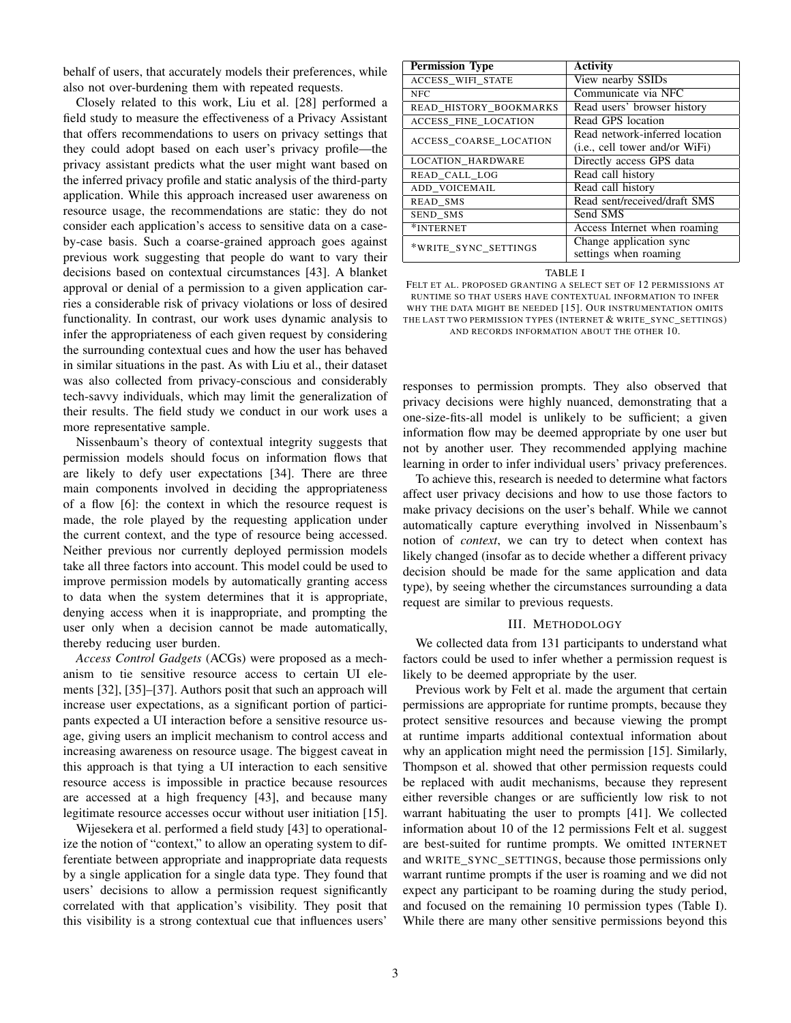behalf of users, that accurately models their preferences, while also not over-burdening them with repeated requests.

Closely related to this work, Liu et al. [28] performed a field study to measure the effectiveness of a Privacy Assistant that offers recommendations to users on privacy settings that they could adopt based on each user's privacy profile—the privacy assistant predicts what the user might want based on the inferred privacy profile and static analysis of the third-party application. While this approach increased user awareness on resource usage, the recommendations are static: they do not consider each application's access to sensitive data on a caseby-case basis. Such a coarse-grained approach goes against previous work suggesting that people do want to vary their decisions based on contextual circumstances [43]. A blanket approval or denial of a permission to a given application carries a considerable risk of privacy violations or loss of desired functionality. In contrast, our work uses dynamic analysis to infer the appropriateness of each given request by considering the surrounding contextual cues and how the user has behaved in similar situations in the past. As with Liu et al., their dataset was also collected from privacy-conscious and considerably tech-savvy individuals, which may limit the generalization of their results. The field study we conduct in our work uses a more representative sample.

Nissenbaum's theory of contextual integrity suggests that permission models should focus on information flows that are likely to defy user expectations [34]. There are three main components involved in deciding the appropriateness of a flow [6]: the context in which the resource request is made, the role played by the requesting application under the current context, and the type of resource being accessed. Neither previous nor currently deployed permission models take all three factors into account. This model could be used to improve permission models by automatically granting access to data when the system determines that it is appropriate, denying access when it is inappropriate, and prompting the user only when a decision cannot be made automatically, thereby reducing user burden.

*Access Control Gadgets* (ACGs) were proposed as a mechanism to tie sensitive resource access to certain UI elements [32], [35]–[37]. Authors posit that such an approach will increase user expectations, as a significant portion of participants expected a UI interaction before a sensitive resource usage, giving users an implicit mechanism to control access and increasing awareness on resource usage. The biggest caveat in this approach is that tying a UI interaction to each sensitive resource access is impossible in practice because resources are accessed at a high frequency [43], and because many legitimate resource accesses occur without user initiation [15].

Wijesekera et al. performed a field study [43] to operationalize the notion of "context," to allow an operating system to differentiate between appropriate and inappropriate data requests by a single application for a single data type. They found that users' decisions to allow a permission request significantly correlated with that application's visibility. They posit that this visibility is a strong contextual cue that influences users'

| <b>Permission Type</b>      | <b>Activity</b>                         |
|-----------------------------|-----------------------------------------|
| <b>ACCESS WIFI STATE</b>    | View nearby SSIDs                       |
| <b>NFC</b>                  | Communicate via NFC                     |
| READ_HISTORY_BOOKMARKS      | Read users' browser history             |
| <b>ACCESS FINE LOCATION</b> | Read GPS location                       |
| ACCESS COARSE LOCATION      | Read network-inferred location          |
|                             | ( <i>i.e.</i> , cell tower and/or WiFi) |
| <b>LOCATION HARDWARE</b>    | Directly access GPS data                |
| READ CALL LOG               | Read call history                       |
| ADD VOICEMAIL               | Read call history                       |
| READ SMS                    | Read sent/received/draft SMS            |
| SEND SMS                    | Send SMS                                |
| *INTERNET                   | Access Internet when roaming            |
| *WRITE SYNC SETTINGS        | Change application sync                 |
|                             | settings when roaming                   |

TABLE I

FELT ET AL. PROPOSED GRANTING A SELECT SET OF 12 PERMISSIONS AT RUNTIME SO THAT USERS HAVE CONTEXTUAL INFORMATION TO INFER WHY THE DATA MIGHT BE NEEDED [15]. OUR INSTRUMENTATION OMITS THE LAST TWO PERMISSION TYPES (INTERNET & WRITE\_SYNC\_SETTINGS) AND RECORDS INFORMATION ABOUT THE OTHER 10.

responses to permission prompts. They also observed that privacy decisions were highly nuanced, demonstrating that a one-size-fits-all model is unlikely to be sufficient; a given information flow may be deemed appropriate by one user but not by another user. They recommended applying machine learning in order to infer individual users' privacy preferences.

To achieve this, research is needed to determine what factors affect user privacy decisions and how to use those factors to make privacy decisions on the user's behalf. While we cannot automatically capture everything involved in Nissenbaum's notion of *context*, we can try to detect when context has likely changed (insofar as to decide whether a different privacy decision should be made for the same application and data type), by seeing whether the circumstances surrounding a data request are similar to previous requests.

#### III. METHODOLOGY

We collected data from 131 participants to understand what factors could be used to infer whether a permission request is likely to be deemed appropriate by the user.

Previous work by Felt et al. made the argument that certain permissions are appropriate for runtime prompts, because they protect sensitive resources and because viewing the prompt at runtime imparts additional contextual information about why an application might need the permission [15]. Similarly, Thompson et al. showed that other permission requests could be replaced with audit mechanisms, because they represent either reversible changes or are sufficiently low risk to not warrant habituating the user to prompts [41]. We collected information about 10 of the 12 permissions Felt et al. suggest are best-suited for runtime prompts. We omitted INTERNET and WRITE\_SYNC\_SETTINGS, because those permissions only warrant runtime prompts if the user is roaming and we did not expect any participant to be roaming during the study period, and focused on the remaining 10 permission types (Table I). While there are many other sensitive permissions beyond this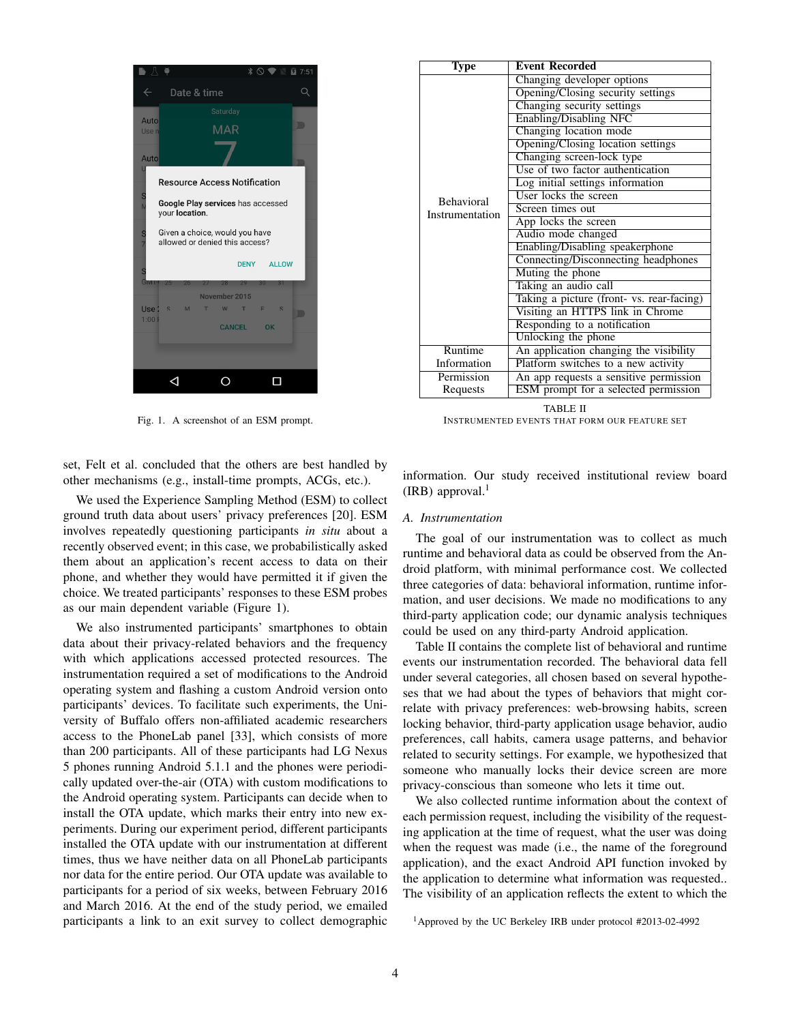

Fig. 1. A screenshot of an ESM prompt.

set, Felt et al. concluded that the others are best handled by other mechanisms (e.g., install-time prompts, ACGs, etc.).

We used the Experience Sampling Method (ESM) to collect ground truth data about users' privacy preferences [20]. ESM involves repeatedly questioning participants *in situ* about a recently observed event; in this case, we probabilistically asked them about an application's recent access to data on their phone, and whether they would have permitted it if given the choice. We treated participants' responses to these ESM probes as our main dependent variable (Figure 1).

We also instrumented participants' smartphones to obtain data about their privacy-related behaviors and the frequency with which applications accessed protected resources. The instrumentation required a set of modifications to the Android operating system and flashing a custom Android version onto participants' devices. To facilitate such experiments, the University of Buffalo offers non-affiliated academic researchers access to the PhoneLab panel [33], which consists of more than 200 participants. All of these participants had LG Nexus 5 phones running Android 5.1.1 and the phones were periodically updated over-the-air (OTA) with custom modifications to the Android operating system. Participants can decide when to install the OTA update, which marks their entry into new experiments. During our experiment period, different participants installed the OTA update with our instrumentation at different times, thus we have neither data on all PhoneLab participants nor data for the entire period. Our OTA update was available to participants for a period of six weeks, between February 2016 and March 2016. At the end of the study period, we emailed participants a link to an exit survey to collect demographic

| <b>Type</b>       | <b>Event Recorded</b>                     |  |
|-------------------|-------------------------------------------|--|
|                   | Changing developer options                |  |
|                   | Opening/Closing security settings         |  |
|                   | Changing security settings                |  |
|                   | <b>Enabling/Disabling NFC</b>             |  |
|                   | Changing location mode                    |  |
|                   | Opening/Closing location settings         |  |
|                   | Changing screen-lock type                 |  |
|                   | Use of two factor authentication          |  |
|                   | Log initial settings information          |  |
| <b>Behavioral</b> | User locks the screen                     |  |
| Instrumentation   | Screen times out                          |  |
|                   | App locks the screen                      |  |
|                   | Audio mode changed                        |  |
|                   | Enabling/Disabling speakerphone           |  |
|                   | Connecting/Disconnecting headphones       |  |
|                   | Muting the phone                          |  |
|                   | Taking an audio call                      |  |
|                   | Taking a picture (front- vs. rear-facing) |  |
|                   | Visiting an HTTPS link in Chrome          |  |
|                   | Responding to a notification              |  |
|                   | Unlocking the phone                       |  |
| Runtime           | An application changing the visibility    |  |
| Information       | Platform switches to a new activity       |  |
| Permission        | An app requests a sensitive permission    |  |
| Requests          | ESM prompt for a selected permission      |  |

TABLE II INSTRUMENTED EVENTS THAT FORM OUR FEATURE SET

information. Our study received institutional review board (IRB) approval.<sup>1</sup>

#### *A. Instrumentation*

The goal of our instrumentation was to collect as much runtime and behavioral data as could be observed from the Android platform, with minimal performance cost. We collected three categories of data: behavioral information, runtime information, and user decisions. We made no modifications to any third-party application code; our dynamic analysis techniques could be used on any third-party Android application.

Table II contains the complete list of behavioral and runtime events our instrumentation recorded. The behavioral data fell under several categories, all chosen based on several hypotheses that we had about the types of behaviors that might correlate with privacy preferences: web-browsing habits, screen locking behavior, third-party application usage behavior, audio preferences, call habits, camera usage patterns, and behavior related to security settings. For example, we hypothesized that someone who manually locks their device screen are more privacy-conscious than someone who lets it time out.

We also collected runtime information about the context of each permission request, including the visibility of the requesting application at the time of request, what the user was doing when the request was made (i.e., the name of the foreground application), and the exact Android API function invoked by the application to determine what information was requested.. The visibility of an application reflects the extent to which the

<sup>&</sup>lt;sup>1</sup>Approved by the UC Berkeley IRB under protocol #2013-02-4992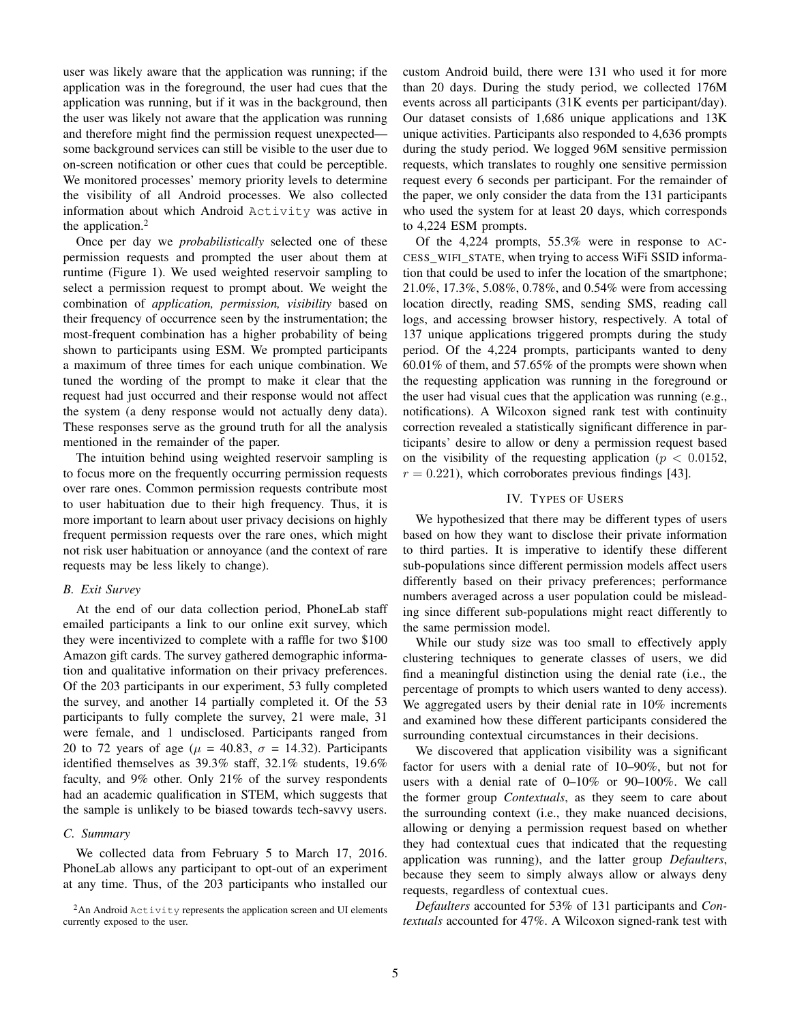user was likely aware that the application was running; if the application was in the foreground, the user had cues that the application was running, but if it was in the background, then the user was likely not aware that the application was running and therefore might find the permission request unexpected some background services can still be visible to the user due to on-screen notification or other cues that could be perceptible. We monitored processes' memory priority levels to determine the visibility of all Android processes. We also collected information about which Android Activity was active in the application.<sup>2</sup>

Once per day we *probabilistically* selected one of these permission requests and prompted the user about them at runtime (Figure 1). We used weighted reservoir sampling to select a permission request to prompt about. We weight the combination of *application, permission, visibility* based on their frequency of occurrence seen by the instrumentation; the most-frequent combination has a higher probability of being shown to participants using ESM. We prompted participants a maximum of three times for each unique combination. We tuned the wording of the prompt to make it clear that the request had just occurred and their response would not affect the system (a deny response would not actually deny data). These responses serve as the ground truth for all the analysis mentioned in the remainder of the paper.

The intuition behind using weighted reservoir sampling is to focus more on the frequently occurring permission requests over rare ones. Common permission requests contribute most to user habituation due to their high frequency. Thus, it is more important to learn about user privacy decisions on highly frequent permission requests over the rare ones, which might not risk user habituation or annoyance (and the context of rare requests may be less likely to change).

## *B. Exit Survey*

At the end of our data collection period, PhoneLab staff emailed participants a link to our online exit survey, which they were incentivized to complete with a raffle for two \$100 Amazon gift cards. The survey gathered demographic information and qualitative information on their privacy preferences. Of the 203 participants in our experiment, 53 fully completed the survey, and another 14 partially completed it. Of the 53 participants to fully complete the survey, 21 were male, 31 were female, and 1 undisclosed. Participants ranged from 20 to 72 years of age ( $\mu$  = 40.83,  $\sigma$  = 14.32). Participants identified themselves as 39.3% staff, 32.1% students, 19.6% faculty, and 9% other. Only 21% of the survey respondents had an academic qualification in STEM, which suggests that the sample is unlikely to be biased towards tech-savvy users.

#### *C. Summary*

We collected data from February 5 to March 17, 2016. PhoneLab allows any participant to opt-out of an experiment at any time. Thus, of the 203 participants who installed our

 $2$ An Android Activity represents the application screen and UI elements currently exposed to the user.

custom Android build, there were 131 who used it for more than 20 days. During the study period, we collected 176M events across all participants (31K events per participant/day). Our dataset consists of 1,686 unique applications and 13K unique activities. Participants also responded to 4,636 prompts during the study period. We logged 96M sensitive permission requests, which translates to roughly one sensitive permission request every 6 seconds per participant. For the remainder of the paper, we only consider the data from the 131 participants who used the system for at least 20 days, which corresponds to 4,224 ESM prompts.

Of the 4,224 prompts, 55.3% were in response to AC-CESS\_WIFI\_STATE, when trying to access WiFi SSID information that could be used to infer the location of the smartphone; 21.0%, 17.3%, 5.08%, 0.78%, and 0.54% were from accessing location directly, reading SMS, sending SMS, reading call logs, and accessing browser history, respectively. A total of 137 unique applications triggered prompts during the study period. Of the 4,224 prompts, participants wanted to deny 60.01% of them, and 57.65% of the prompts were shown when the requesting application was running in the foreground or the user had visual cues that the application was running (e.g., notifications). A Wilcoxon signed rank test with continuity correction revealed a statistically significant difference in participants' desire to allow or deny a permission request based on the visibility of the requesting application ( $p < 0.0152$ ,  $r = 0.221$ , which corroborates previous findings [43].

## IV. TYPES OF USERS

We hypothesized that there may be different types of users based on how they want to disclose their private information to third parties. It is imperative to identify these different sub-populations since different permission models affect users differently based on their privacy preferences; performance numbers averaged across a user population could be misleading since different sub-populations might react differently to the same permission model.

While our study size was too small to effectively apply clustering techniques to generate classes of users, we did find a meaningful distinction using the denial rate (i.e., the percentage of prompts to which users wanted to deny access). We aggregated users by their denial rate in 10% increments and examined how these different participants considered the surrounding contextual circumstances in their decisions.

We discovered that application visibility was a significant factor for users with a denial rate of 10–90%, but not for users with a denial rate of 0–10% or 90–100%. We call the former group *Contextuals*, as they seem to care about the surrounding context (i.e., they make nuanced decisions, allowing or denying a permission request based on whether they had contextual cues that indicated that the requesting application was running), and the latter group *Defaulters*, because they seem to simply always allow or always deny requests, regardless of contextual cues.

*Defaulters* accounted for 53% of 131 participants and *Contextuals* accounted for 47%. A Wilcoxon signed-rank test with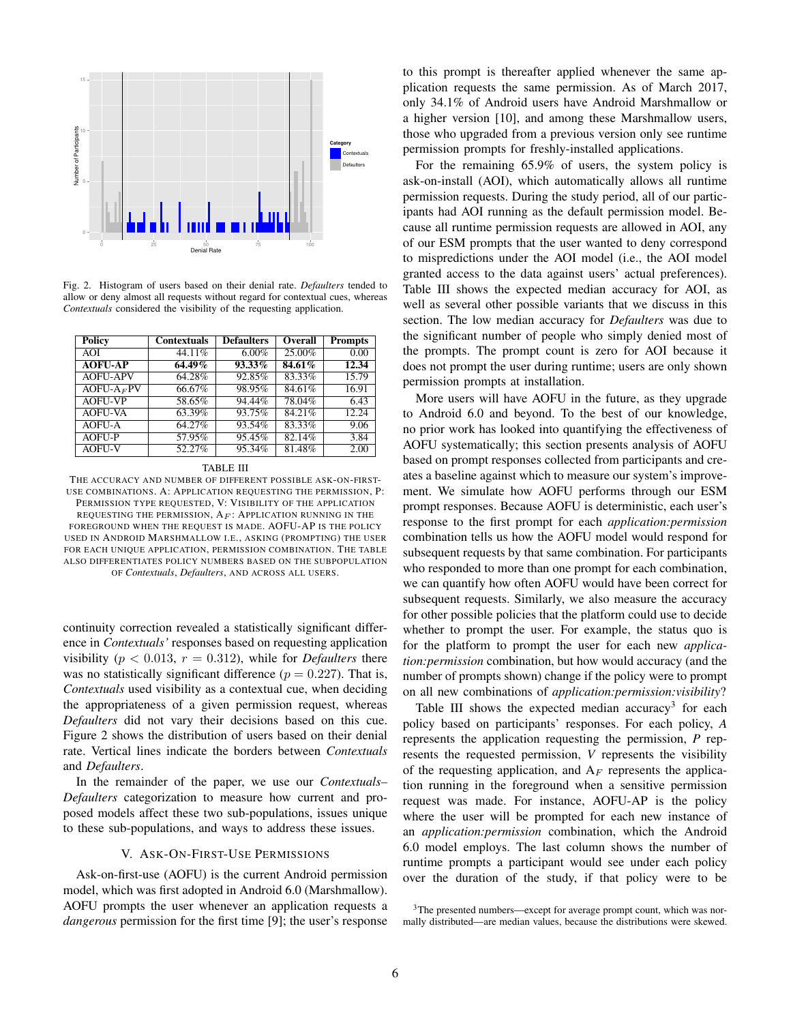

Fig. 2. Histogram of users based on their denial rate. *Defaulters* tended to allow or deny almost all requests without regard for contextual cues, whereas *Contextuals* considered the visibility of the requesting application.

| <b>Policy</b>   | <b>Contextuals</b> | <b>Defaulters</b> | Overall   | <b>Prompts</b> |
|-----------------|--------------------|-------------------|-----------|----------------|
| AOI             | 44.11%             | $6.00\%$          | 25.00%    | 0.00           |
| <b>AOFU-AP</b>  | 64.49%             | $93.33\%$         | 84.61%    | 12.34          |
| <b>AOFU-APV</b> | 64.28%             | 92.85%            | 83.33%    | 15.79          |
| $AOFU-AFPV$     | 66.67%             | 98.95%            | 84.61%    | 16.91          |
| <b>AOFU-VP</b>  | 58.65%             | 94.44%            | $78.04\%$ | 6.43           |
| <b>AOFU-VA</b>  | 63.39%             | 93.75%            | 84.21%    | 12.24          |
| <b>AOFU-A</b>   | 64.27%             | 93.54%            | 83.33%    | 9.06           |
| <b>AOFU-P</b>   | 57.95%             | 95.45%            | 82.14%    | 3.84           |
| <b>AOFU-V</b>   | 52.27%             | 95.34%            | 81.48%    | 2.00           |

#### TABLE III

THE ACCURACY AND NUMBER OF DIFFERENT POSSIBLE ASK-ON-FIRST-USE COMBINATIONS. A: APPLICATION REQUESTING THE PERMISSION, P: PERMISSION TYPE REQUESTED, V: VISIBILITY OF THE APPLICATION REQUESTING THE PERMISSION,  $A_F$ : APPLICATION RUNNING IN THE FOREGROUND WHEN THE REQUEST IS MADE. AOFU-AP IS THE POLICY USED IN ANDROID MARSHMALLOW I.E., ASKING (PROMPTING) THE USER FOR EACH UNIQUE APPLICATION, PERMISSION COMBINATION. THE TABLE ALSO DIFFERENTIATES POLICY NUMBERS BASED ON THE SUBPOPULATION OF *Contextuals*, *Defaulters*, AND ACROSS ALL USERS.

continuity correction revealed a statistically significant difference in *Contextuals'* responses based on requesting application visibility ( $p < 0.013$ ,  $r = 0.312$ ), while for *Defaulters* there was no statistically significant difference ( $p = 0.227$ ). That is, *Contextuals* used visibility as a contextual cue, when deciding the appropriateness of a given permission request, whereas *Defaulters* did not vary their decisions based on this cue. Figure 2 shows the distribution of users based on their denial rate. Vertical lines indicate the borders between *Contextuals* and *Defaulters*.

In the remainder of the paper, we use our *Contextuals– Defaulters* categorization to measure how current and proposed models affect these two sub-populations, issues unique to these sub-populations, and ways to address these issues.

#### V. ASK-ON-FIRST-USE PERMISSIONS

Ask-on-first-use (AOFU) is the current Android permission model, which was first adopted in Android 6.0 (Marshmallow). AOFU prompts the user whenever an application requests a *dangerous* permission for the first time [9]; the user's response to this prompt is thereafter applied whenever the same application requests the same permission. As of March 2017, only 34.1% of Android users have Android Marshmallow or a higher version [10], and among these Marshmallow users, those who upgraded from a previous version only see runtime permission prompts for freshly-installed applications.

For the remaining 65.9% of users, the system policy is ask-on-install (AOI), which automatically allows all runtime permission requests. During the study period, all of our participants had AOI running as the default permission model. Because all runtime permission requests are allowed in AOI, any of our ESM prompts that the user wanted to deny correspond to mispredictions under the AOI model (i.e., the AOI model granted access to the data against users' actual preferences). Table III shows the expected median accuracy for AOI, as well as several other possible variants that we discuss in this section. The low median accuracy for *Defaulters* was due to the significant number of people who simply denied most of the prompts. The prompt count is zero for AOI because it does not prompt the user during runtime; users are only shown permission prompts at installation.

More users will have AOFU in the future, as they upgrade to Android 6.0 and beyond. To the best of our knowledge, no prior work has looked into quantifying the effectiveness of AOFU systematically; this section presents analysis of AOFU based on prompt responses collected from participants and creates a baseline against which to measure our system's improvement. We simulate how AOFU performs through our ESM prompt responses. Because AOFU is deterministic, each user's response to the first prompt for each *application:permission* combination tells us how the AOFU model would respond for subsequent requests by that same combination. For participants who responded to more than one prompt for each combination, we can quantify how often AOFU would have been correct for subsequent requests. Similarly, we also measure the accuracy for other possible policies that the platform could use to decide whether to prompt the user. For example, the status quo is for the platform to prompt the user for each new *application:permission* combination, but how would accuracy (and the number of prompts shown) change if the policy were to prompt on all new combinations of *application:permission:visibility*?

Table III shows the expected median accuracy<sup>3</sup> for each policy based on participants' responses. For each policy, *A* represents the application requesting the permission, *P* represents the requested permission, *V* represents the visibility of the requesting application, and  $A_F$  represents the application running in the foreground when a sensitive permission request was made. For instance, AOFU-AP is the policy where the user will be prompted for each new instance of an *application:permission* combination, which the Android 6.0 model employs. The last column shows the number of runtime prompts a participant would see under each policy over the duration of the study, if that policy were to be

<sup>&</sup>lt;sup>3</sup>The presented numbers—except for average prompt count, which was normally distributed—are median values, because the distributions were skewed.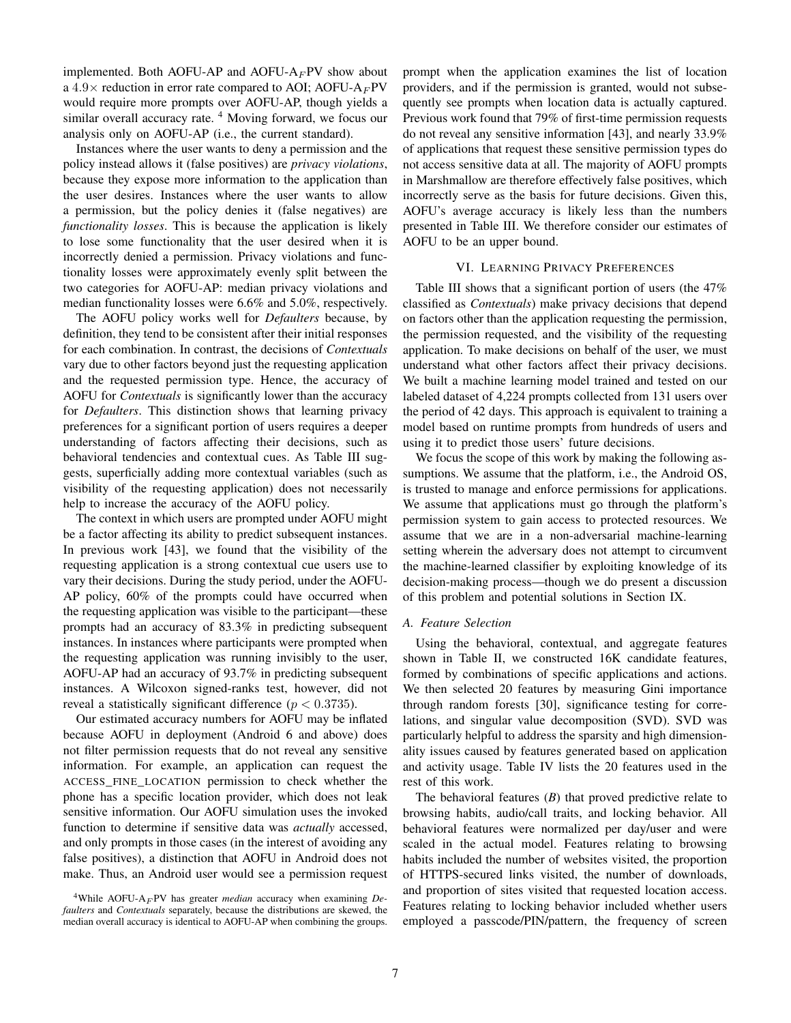implemented. Both AOFU-AP and AOFU-A<sub>F</sub>PV show about a  $4.9\times$  reduction in error rate compared to AOI; AOFU-A<sub>F</sub>PV would require more prompts over AOFU-AP, though yields a similar overall accuracy rate.<sup>4</sup> Moving forward, we focus our analysis only on AOFU-AP (i.e., the current standard).

Instances where the user wants to deny a permission and the policy instead allows it (false positives) are *privacy violations*, because they expose more information to the application than the user desires. Instances where the user wants to allow a permission, but the policy denies it (false negatives) are *functionality losses*. This is because the application is likely to lose some functionality that the user desired when it is incorrectly denied a permission. Privacy violations and functionality losses were approximately evenly split between the two categories for AOFU-AP: median privacy violations and median functionality losses were 6.6% and 5.0%, respectively.

The AOFU policy works well for *Defaulters* because, by definition, they tend to be consistent after their initial responses for each combination. In contrast, the decisions of *Contextuals* vary due to other factors beyond just the requesting application and the requested permission type. Hence, the accuracy of AOFU for *Contextuals* is significantly lower than the accuracy for *Defaulters*. This distinction shows that learning privacy preferences for a significant portion of users requires a deeper understanding of factors affecting their decisions, such as behavioral tendencies and contextual cues. As Table III suggests, superficially adding more contextual variables (such as visibility of the requesting application) does not necessarily help to increase the accuracy of the AOFU policy.

The context in which users are prompted under AOFU might be a factor affecting its ability to predict subsequent instances. In previous work [43], we found that the visibility of the requesting application is a strong contextual cue users use to vary their decisions. During the study period, under the AOFU-AP policy, 60% of the prompts could have occurred when the requesting application was visible to the participant—these prompts had an accuracy of 83.3% in predicting subsequent instances. In instances where participants were prompted when the requesting application was running invisibly to the user, AOFU-AP had an accuracy of 93.7% in predicting subsequent instances. A Wilcoxon signed-ranks test, however, did not reveal a statistically significant difference ( $p < 0.3735$ ).

Our estimated accuracy numbers for AOFU may be inflated because AOFU in deployment (Android 6 and above) does not filter permission requests that do not reveal any sensitive information. For example, an application can request the ACCESS\_FINE\_LOCATION permission to check whether the phone has a specific location provider, which does not leak sensitive information. Our AOFU simulation uses the invoked function to determine if sensitive data was *actually* accessed, and only prompts in those cases (in the interest of avoiding any false positives), a distinction that AOFU in Android does not make. Thus, an Android user would see a permission request

prompt when the application examines the list of location providers, and if the permission is granted, would not subsequently see prompts when location data is actually captured. Previous work found that 79% of first-time permission requests do not reveal any sensitive information [43], and nearly 33.9% of applications that request these sensitive permission types do not access sensitive data at all. The majority of AOFU prompts in Marshmallow are therefore effectively false positives, which incorrectly serve as the basis for future decisions. Given this, AOFU's average accuracy is likely less than the numbers presented in Table III. We therefore consider our estimates of AOFU to be an upper bound.

## VI. LEARNING PRIVACY PREFERENCES

Table III shows that a significant portion of users (the 47% classified as *Contextuals*) make privacy decisions that depend on factors other than the application requesting the permission, the permission requested, and the visibility of the requesting application. To make decisions on behalf of the user, we must understand what other factors affect their privacy decisions. We built a machine learning model trained and tested on our labeled dataset of 4,224 prompts collected from 131 users over the period of 42 days. This approach is equivalent to training a model based on runtime prompts from hundreds of users and using it to predict those users' future decisions.

We focus the scope of this work by making the following assumptions. We assume that the platform, i.e., the Android OS, is trusted to manage and enforce permissions for applications. We assume that applications must go through the platform's permission system to gain access to protected resources. We assume that we are in a non-adversarial machine-learning setting wherein the adversary does not attempt to circumvent the machine-learned classifier by exploiting knowledge of its decision-making process—though we do present a discussion of this problem and potential solutions in Section IX.

#### *A. Feature Selection*

Using the behavioral, contextual, and aggregate features shown in Table II, we constructed 16K candidate features, formed by combinations of specific applications and actions. We then selected 20 features by measuring Gini importance through random forests [30], significance testing for correlations, and singular value decomposition (SVD). SVD was particularly helpful to address the sparsity and high dimensionality issues caused by features generated based on application and activity usage. Table IV lists the 20 features used in the rest of this work.

The behavioral features (*B*) that proved predictive relate to browsing habits, audio/call traits, and locking behavior. All behavioral features were normalized per day/user and were scaled in the actual model. Features relating to browsing habits included the number of websites visited, the proportion of HTTPS-secured links visited, the number of downloads, and proportion of sites visited that requested location access. Features relating to locking behavior included whether users employed a passcode/PIN/pattern, the frequency of screen

<sup>&</sup>lt;sup>4</sup>While AOFU-A<sub>F</sub>PV has greater *median* accuracy when examining *Defaulters* and *Contextuals* separately, because the distributions are skewed, the median overall accuracy is identical to AOFU-AP when combining the groups.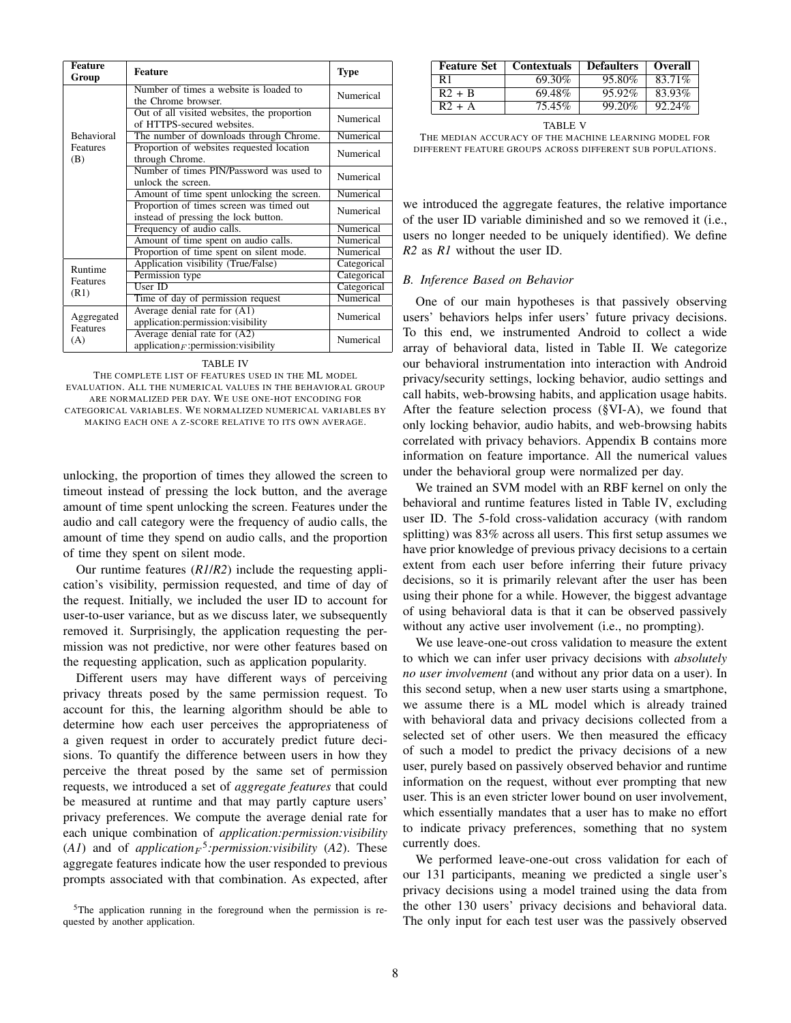| <b>Feature</b><br>Group | <b>Feature</b>                                                                   | <b>Type</b> |
|-------------------------|----------------------------------------------------------------------------------|-------------|
|                         | Number of times a website is loaded to<br>the Chrome browser.                    | Numerical   |
|                         | Out of all visited websites, the proportion<br>of HTTPS-secured websites.        | Numerical   |
| <b>Behavioral</b>       | The number of downloads through Chrome.                                          | Numerical   |
| Features<br>(B)         | Proportion of websites requested location<br>through Chrome.                     | Numerical   |
|                         | Number of times PIN/Password was used to<br>unlock the screen.                   | Numerical   |
|                         | Amount of time spent unlocking the screen.                                       | Numerical   |
|                         | Proportion of times screen was timed out<br>instead of pressing the lock button. | Numerical   |
|                         | Frequency of audio calls.                                                        | Numerical   |
|                         | Amount of time spent on audio calls.                                             | Numerical   |
|                         | Proportion of time spent on silent mode.                                         | Numerical   |
| Runtime                 | Application visibility (True/False)                                              | Categorical |
| Features                | Permission type                                                                  | Categorical |
| (R1)                    | User $ID$                                                                        | Categorical |
|                         | Time of day of permission request                                                | Numerical   |
| Aggregated<br>Features  | Average denial rate for $(A1)$<br>application:permission:visibility              | Numerical   |
| (A)                     | Average denial rate for $(A2)$<br>application $_F$ : permission: visibility      | Numerical   |

TABLE IV

THE COMPLETE LIST OF FEATURES USED IN THE ML MODEL EVALUATION. ALL THE NUMERICAL VALUES IN THE BEHAVIORAL GROUP ARE NORMALIZED PER DAY. WE USE ONE-HOT ENCODING FOR CATEGORICAL VARIABLES. WE NORMALIZED NUMERICAL VARIABLES BY MAKING EACH ONE A Z-SCORE RELATIVE TO ITS OWN AVERAGE.

unlocking, the proportion of times they allowed the screen to timeout instead of pressing the lock button, and the average amount of time spent unlocking the screen. Features under the audio and call category were the frequency of audio calls, the amount of time they spend on audio calls, and the proportion of time they spent on silent mode.

Our runtime features (*R1*/*R2*) include the requesting application's visibility, permission requested, and time of day of the request. Initially, we included the user ID to account for user-to-user variance, but as we discuss later, we subsequently removed it. Surprisingly, the application requesting the permission was not predictive, nor were other features based on the requesting application, such as application popularity.

Different users may have different ways of perceiving privacy threats posed by the same permission request. To account for this, the learning algorithm should be able to determine how each user perceives the appropriateness of a given request in order to accurately predict future decisions. To quantify the difference between users in how they perceive the threat posed by the same set of permission requests, we introduced a set of *aggregate features* that could be measured at runtime and that may partly capture users' privacy preferences. We compute the average denial rate for each unique combination of *application:permission:visibility*  $(A1)$  and of *application*<sub>F</sub><sup>5</sup>:*permission:visibility* (A2). These aggregate features indicate how the user responded to previous prompts associated with that combination. As expected, after

| <b>Feature Set</b> | <b>Contextuals</b> | <b>Defaulters</b> | Overall   |
|--------------------|--------------------|-------------------|-----------|
| R 1                | 69.30%             | 95.80%            | 83.71%    |
| $R2 + B$           | 69.48%             | $95.92\%$         | 83.93%    |
| $R2 + A$           | 75.45%             | 99.20%            | $92.24\%$ |

| TABLE |  |
|-------|--|
|-------|--|

THE MEDIAN ACCURACY OF THE MACHINE LEARNING MODEL FOR DIFFERENT FEATURE GROUPS ACROSS DIFFERENT SUB POPULATIONS.

we introduced the aggregate features, the relative importance of the user ID variable diminished and so we removed it (i.e., users no longer needed to be uniquely identified). We define *R2* as *R1* without the user ID.

#### *B. Inference Based on Behavior*

One of our main hypotheses is that passively observing users' behaviors helps infer users' future privacy decisions. To this end, we instrumented Android to collect a wide array of behavioral data, listed in Table II. We categorize our behavioral instrumentation into interaction with Android privacy/security settings, locking behavior, audio settings and call habits, web-browsing habits, and application usage habits. After the feature selection process (§VI-A), we found that only locking behavior, audio habits, and web-browsing habits correlated with privacy behaviors. Appendix B contains more information on feature importance. All the numerical values under the behavioral group were normalized per day.

We trained an SVM model with an RBF kernel on only the behavioral and runtime features listed in Table IV, excluding user ID. The 5-fold cross-validation accuracy (with random splitting) was 83% across all users. This first setup assumes we have prior knowledge of previous privacy decisions to a certain extent from each user before inferring their future privacy decisions, so it is primarily relevant after the user has been using their phone for a while. However, the biggest advantage of using behavioral data is that it can be observed passively without any active user involvement (i.e., no prompting).

We use leave-one-out cross validation to measure the extent to which we can infer user privacy decisions with *absolutely no user involvement* (and without any prior data on a user). In this second setup, when a new user starts using a smartphone, we assume there is a ML model which is already trained with behavioral data and privacy decisions collected from a selected set of other users. We then measured the efficacy of such a model to predict the privacy decisions of a new user, purely based on passively observed behavior and runtime information on the request, without ever prompting that new user. This is an even stricter lower bound on user involvement, which essentially mandates that a user has to make no effort to indicate privacy preferences, something that no system currently does.

We performed leave-one-out cross validation for each of our 131 participants, meaning we predicted a single user's privacy decisions using a model trained using the data from the other 130 users' privacy decisions and behavioral data. The only input for each test user was the passively observed

<sup>&</sup>lt;sup>5</sup>The application running in the foreground when the permission is requested by another application.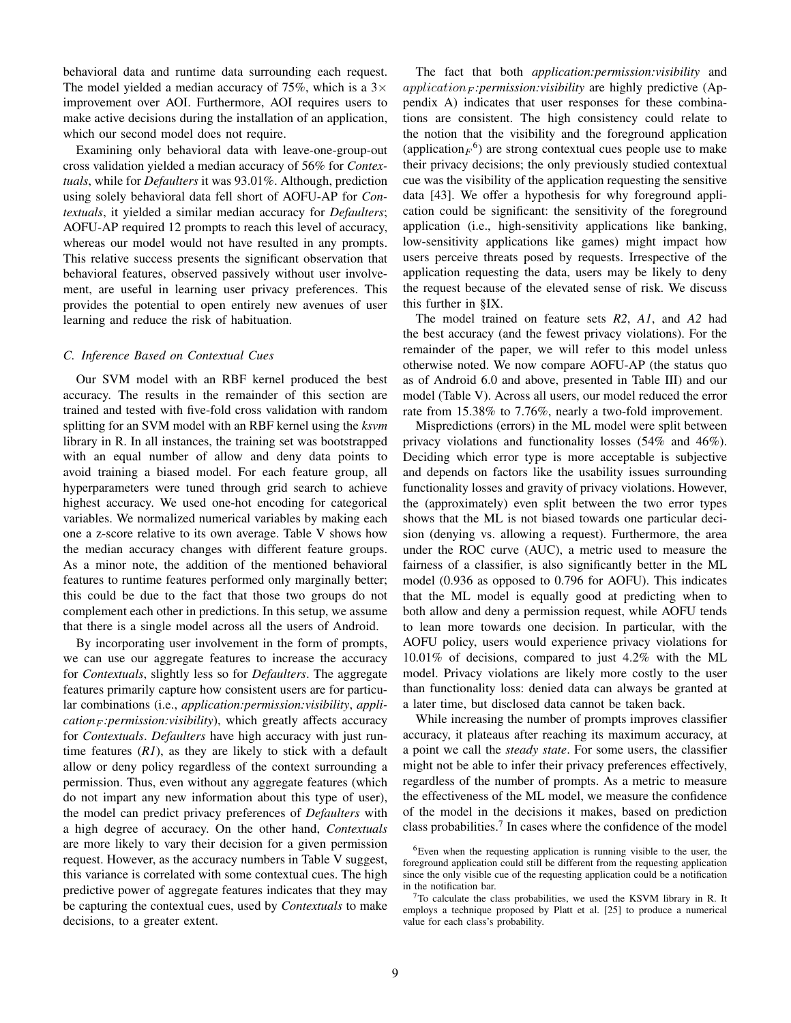behavioral data and runtime data surrounding each request. The model yielded a median accuracy of 75%, which is a  $3\times$ improvement over AOI. Furthermore, AOI requires users to make active decisions during the installation of an application, which our second model does not require.

Examining only behavioral data with leave-one-group-out cross validation yielded a median accuracy of 56% for *Contextuals*, while for *Defaulters* it was 93.01%. Although, prediction using solely behavioral data fell short of AOFU-AP for *Contextuals*, it yielded a similar median accuracy for *Defaulters*; AOFU-AP required 12 prompts to reach this level of accuracy, whereas our model would not have resulted in any prompts. This relative success presents the significant observation that behavioral features, observed passively without user involvement, are useful in learning user privacy preferences. This provides the potential to open entirely new avenues of user learning and reduce the risk of habituation.

## *C. Inference Based on Contextual Cues*

Our SVM model with an RBF kernel produced the best accuracy. The results in the remainder of this section are trained and tested with five-fold cross validation with random splitting for an SVM model with an RBF kernel using the *ksvm* library in R. In all instances, the training set was bootstrapped with an equal number of allow and deny data points to avoid training a biased model. For each feature group, all hyperparameters were tuned through grid search to achieve highest accuracy. We used one-hot encoding for categorical variables. We normalized numerical variables by making each one a z-score relative to its own average. Table V shows how the median accuracy changes with different feature groups. As a minor note, the addition of the mentioned behavioral features to runtime features performed only marginally better; this could be due to the fact that those two groups do not complement each other in predictions. In this setup, we assume that there is a single model across all the users of Android.

By incorporating user involvement in the form of prompts, we can use our aggregate features to increase the accuracy for *Contextuals*, slightly less so for *Defaulters*. The aggregate features primarily capture how consistent users are for particular combinations (i.e., *application:permission:visibility*, *appli* $cation_F:permission:visibility$ , which greatly affects accuracy for *Contextuals*. *Defaulters* have high accuracy with just runtime features  $(RI)$ , as they are likely to stick with a default allow or deny policy regardless of the context surrounding a permission. Thus, even without any aggregate features (which do not impart any new information about this type of user), the model can predict privacy preferences of *Defaulters* with a high degree of accuracy. On the other hand, *Contextuals* are more likely to vary their decision for a given permission request. However, as the accuracy numbers in Table V suggest, this variance is correlated with some contextual cues. The high predictive power of aggregate features indicates that they may be capturing the contextual cues, used by *Contextuals* to make decisions, to a greater extent.

The fact that both *application:permission:visibility* and  $application_F:permission:visibility$  are highly predictive (Appendix A) indicates that user responses for these combinations are consistent. The high consistency could relate to the notion that the visibility and the foreground application (application $_F^6$ ) are strong contextual cues people use to make their privacy decisions; the only previously studied contextual cue was the visibility of the application requesting the sensitive data [43]. We offer a hypothesis for why foreground application could be significant: the sensitivity of the foreground application (i.e., high-sensitivity applications like banking, low-sensitivity applications like games) might impact how users perceive threats posed by requests. Irrespective of the application requesting the data, users may be likely to deny the request because of the elevated sense of risk. We discuss this further in §IX.

The model trained on feature sets *R2*, *A1*, and *A2* had the best accuracy (and the fewest privacy violations). For the remainder of the paper, we will refer to this model unless otherwise noted. We now compare AOFU-AP (the status quo as of Android 6.0 and above, presented in Table III) and our model (Table V). Across all users, our model reduced the error rate from 15.38% to 7.76%, nearly a two-fold improvement.

Mispredictions (errors) in the ML model were split between privacy violations and functionality losses (54% and 46%). Deciding which error type is more acceptable is subjective and depends on factors like the usability issues surrounding functionality losses and gravity of privacy violations. However, the (approximately) even split between the two error types shows that the ML is not biased towards one particular decision (denying vs. allowing a request). Furthermore, the area under the ROC curve (AUC), a metric used to measure the fairness of a classifier, is also significantly better in the ML model (0.936 as opposed to 0.796 for AOFU). This indicates that the ML model is equally good at predicting when to both allow and deny a permission request, while AOFU tends to lean more towards one decision. In particular, with the AOFU policy, users would experience privacy violations for 10.01% of decisions, compared to just 4.2% with the ML model. Privacy violations are likely more costly to the user than functionality loss: denied data can always be granted at a later time, but disclosed data cannot be taken back.

While increasing the number of prompts improves classifier accuracy, it plateaus after reaching its maximum accuracy, at a point we call the *steady state*. For some users, the classifier might not be able to infer their privacy preferences effectively, regardless of the number of prompts. As a metric to measure the effectiveness of the ML model, we measure the confidence of the model in the decisions it makes, based on prediction class probabilities.<sup>7</sup> In cases where the confidence of the model

<sup>&</sup>lt;sup>6</sup>Even when the requesting application is running visible to the user, the foreground application could still be different from the requesting application since the only visible cue of the requesting application could be a notification in the notification bar.

 $7$ To calculate the class probabilities, we used the KSVM library in R. It employs a technique proposed by Platt et al. [25] to produce a numerical value for each class's probability.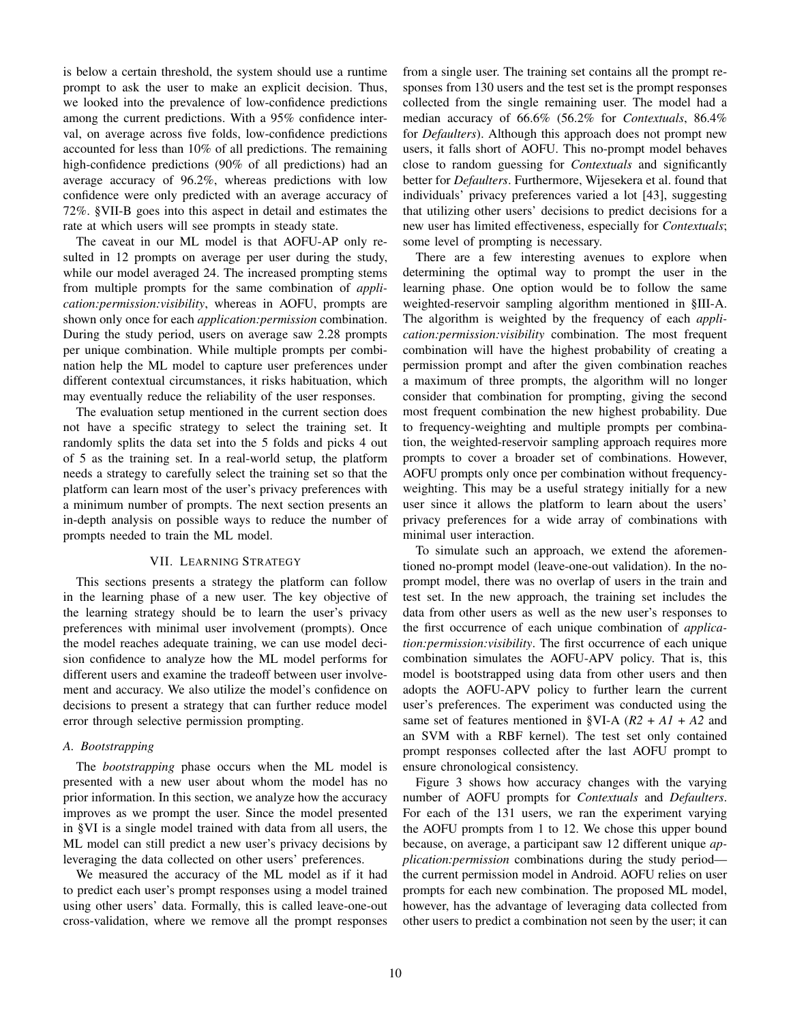is below a certain threshold, the system should use a runtime prompt to ask the user to make an explicit decision. Thus, we looked into the prevalence of low-confidence predictions among the current predictions. With a 95% confidence interval, on average across five folds, low-confidence predictions accounted for less than 10% of all predictions. The remaining high-confidence predictions (90% of all predictions) had an average accuracy of 96.2%, whereas predictions with low confidence were only predicted with an average accuracy of 72%. §VII-B goes into this aspect in detail and estimates the rate at which users will see prompts in steady state.

The caveat in our ML model is that AOFU-AP only resulted in 12 prompts on average per user during the study, while our model averaged 24. The increased prompting stems from multiple prompts for the same combination of *application:permission:visibility*, whereas in AOFU, prompts are shown only once for each *application:permission* combination. During the study period, users on average saw 2.28 prompts per unique combination. While multiple prompts per combination help the ML model to capture user preferences under different contextual circumstances, it risks habituation, which may eventually reduce the reliability of the user responses.

The evaluation setup mentioned in the current section does not have a specific strategy to select the training set. It randomly splits the data set into the 5 folds and picks 4 out of 5 as the training set. In a real-world setup, the platform needs a strategy to carefully select the training set so that the platform can learn most of the user's privacy preferences with a minimum number of prompts. The next section presents an in-depth analysis on possible ways to reduce the number of prompts needed to train the ML model.

#### VII. LEARNING STRATEGY

This sections presents a strategy the platform can follow in the learning phase of a new user. The key objective of the learning strategy should be to learn the user's privacy preferences with minimal user involvement (prompts). Once the model reaches adequate training, we can use model decision confidence to analyze how the ML model performs for different users and examine the tradeoff between user involvement and accuracy. We also utilize the model's confidence on decisions to present a strategy that can further reduce model error through selective permission prompting.

# *A. Bootstrapping*

The *bootstrapping* phase occurs when the ML model is presented with a new user about whom the model has no prior information. In this section, we analyze how the accuracy improves as we prompt the user. Since the model presented in §VI is a single model trained with data from all users, the ML model can still predict a new user's privacy decisions by leveraging the data collected on other users' preferences.

We measured the accuracy of the ML model as if it had to predict each user's prompt responses using a model trained using other users' data. Formally, this is called leave-one-out cross-validation, where we remove all the prompt responses from a single user. The training set contains all the prompt responses from 130 users and the test set is the prompt responses collected from the single remaining user. The model had a median accuracy of 66.6% (56.2% for *Contextuals*, 86.4% for *Defaulters*). Although this approach does not prompt new users, it falls short of AOFU. This no-prompt model behaves close to random guessing for *Contextuals* and significantly better for *Defaulters*. Furthermore, Wijesekera et al. found that individuals' privacy preferences varied a lot [43], suggesting that utilizing other users' decisions to predict decisions for a new user has limited effectiveness, especially for *Contextuals*; some level of prompting is necessary.

There are a few interesting avenues to explore when determining the optimal way to prompt the user in the learning phase. One option would be to follow the same weighted-reservoir sampling algorithm mentioned in §III-A. The algorithm is weighted by the frequency of each *application:permission:visibility* combination. The most frequent combination will have the highest probability of creating a permission prompt and after the given combination reaches a maximum of three prompts, the algorithm will no longer consider that combination for prompting, giving the second most frequent combination the new highest probability. Due to frequency-weighting and multiple prompts per combination, the weighted-reservoir sampling approach requires more prompts to cover a broader set of combinations. However, AOFU prompts only once per combination without frequencyweighting. This may be a useful strategy initially for a new user since it allows the platform to learn about the users' privacy preferences for a wide array of combinations with minimal user interaction.

To simulate such an approach, we extend the aforementioned no-prompt model (leave-one-out validation). In the noprompt model, there was no overlap of users in the train and test set. In the new approach, the training set includes the data from other users as well as the new user's responses to the first occurrence of each unique combination of *application:permission:visibility*. The first occurrence of each unique combination simulates the AOFU-APV policy. That is, this model is bootstrapped using data from other users and then adopts the AOFU-APV policy to further learn the current user's preferences. The experiment was conducted using the same set of features mentioned in §VI-A (*R2* + *A1* + *A2* and an SVM with a RBF kernel). The test set only contained prompt responses collected after the last AOFU prompt to ensure chronological consistency.

Figure 3 shows how accuracy changes with the varying number of AOFU prompts for *Contextuals* and *Defaulters*. For each of the 131 users, we ran the experiment varying the AOFU prompts from 1 to 12. We chose this upper bound because, on average, a participant saw 12 different unique *application:permission* combinations during the study period the current permission model in Android. AOFU relies on user prompts for each new combination. The proposed ML model, however, has the advantage of leveraging data collected from other users to predict a combination not seen by the user; it can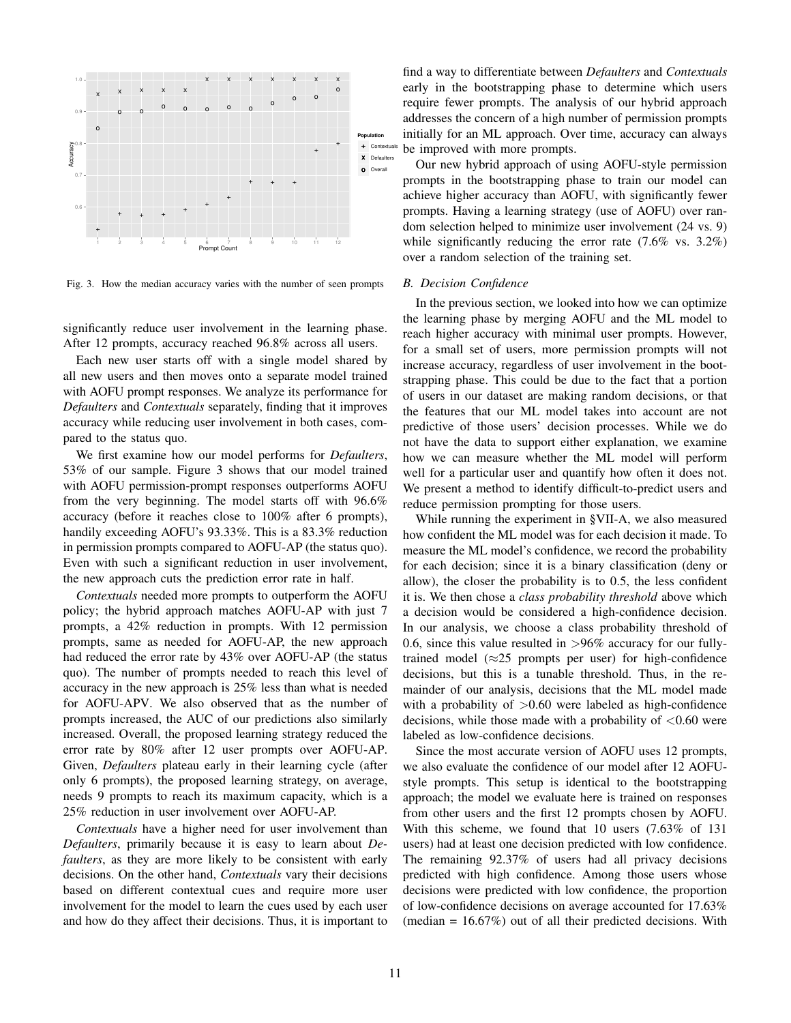

Fig. 3. How the median accuracy varies with the number of seen prompts

significantly reduce user involvement in the learning phase. After 12 prompts, accuracy reached 96.8% across all users.

Each new user starts off with a single model shared by all new users and then moves onto a separate model trained with AOFU prompt responses. We analyze its performance for *Defaulters* and *Contextuals* separately, finding that it improves accuracy while reducing user involvement in both cases, compared to the status quo.

We first examine how our model performs for *Defaulters*, 53% of our sample. Figure 3 shows that our model trained with AOFU permission-prompt responses outperforms AOFU from the very beginning. The model starts off with 96.6% accuracy (before it reaches close to 100% after 6 prompts), handily exceeding AOFU's 93.33%. This is a 83.3% reduction in permission prompts compared to AOFU-AP (the status quo). Even with such a significant reduction in user involvement, the new approach cuts the prediction error rate in half.

*Contextuals* needed more prompts to outperform the AOFU policy; the hybrid approach matches AOFU-AP with just 7 prompts, a 42% reduction in prompts. With 12 permission prompts, same as needed for AOFU-AP, the new approach had reduced the error rate by 43% over AOFU-AP (the status quo). The number of prompts needed to reach this level of accuracy in the new approach is 25% less than what is needed for AOFU-APV. We also observed that as the number of prompts increased, the AUC of our predictions also similarly increased. Overall, the proposed learning strategy reduced the error rate by 80% after 12 user prompts over AOFU-AP. Given, *Defaulters* plateau early in their learning cycle (after only 6 prompts), the proposed learning strategy, on average, needs 9 prompts to reach its maximum capacity, which is a 25% reduction in user involvement over AOFU-AP.

*Contextuals* have a higher need for user involvement than *Defaulters*, primarily because it is easy to learn about *Defaulters*, as they are more likely to be consistent with early decisions. On the other hand, *Contextuals* vary their decisions based on different contextual cues and require more user involvement for the model to learn the cues used by each user and how do they affect their decisions. Thus, it is important to

find a way to differentiate between *Defaulters* and *Contextuals* early in the bootstrapping phase to determine which users require fewer prompts. The analysis of our hybrid approach addresses the concern of a high number of permission prompts initially for an ML approach. Over time, accuracy can always be improved with more prompts.

Our new hybrid approach of using AOFU-style permission prompts in the bootstrapping phase to train our model can achieve higher accuracy than AOFU, with significantly fewer prompts. Having a learning strategy (use of AOFU) over random selection helped to minimize user involvement (24 vs. 9) while significantly reducing the error rate (7.6% vs. 3.2%) over a random selection of the training set.

#### *B. Decision Confidence*

In the previous section, we looked into how we can optimize the learning phase by merging AOFU and the ML model to reach higher accuracy with minimal user prompts. However, for a small set of users, more permission prompts will not increase accuracy, regardless of user involvement in the bootstrapping phase. This could be due to the fact that a portion of users in our dataset are making random decisions, or that the features that our ML model takes into account are not predictive of those users' decision processes. While we do not have the data to support either explanation, we examine how we can measure whether the ML model will perform well for a particular user and quantify how often it does not. We present a method to identify difficult-to-predict users and reduce permission prompting for those users.

While running the experiment in §VII-A, we also measured how confident the ML model was for each decision it made. To measure the ML model's confidence, we record the probability for each decision; since it is a binary classification (deny or allow), the closer the probability is to 0.5, the less confident it is. We then chose a *class probability threshold* above which a decision would be considered a high-confidence decision. In our analysis, we choose a class probability threshold of 0.6, since this value resulted in >96% accuracy for our fullytrained model ( $\approx$ 25 prompts per user) for high-confidence decisions, but this is a tunable threshold. Thus, in the remainder of our analysis, decisions that the ML model made with a probability of  $>0.60$  were labeled as high-confidence decisions, while those made with a probability of  $\leq 0.60$  were labeled as low-confidence decisions.

Since the most accurate version of AOFU uses 12 prompts, we also evaluate the confidence of our model after 12 AOFUstyle prompts. This setup is identical to the bootstrapping approach; the model we evaluate here is trained on responses from other users and the first 12 prompts chosen by AOFU. With this scheme, we found that 10 users (7.63% of 131 users) had at least one decision predicted with low confidence. The remaining 92.37% of users had all privacy decisions predicted with high confidence. Among those users whose decisions were predicted with low confidence, the proportion of low-confidence decisions on average accounted for 17.63% (median  $= 16.67\%$ ) out of all their predicted decisions. With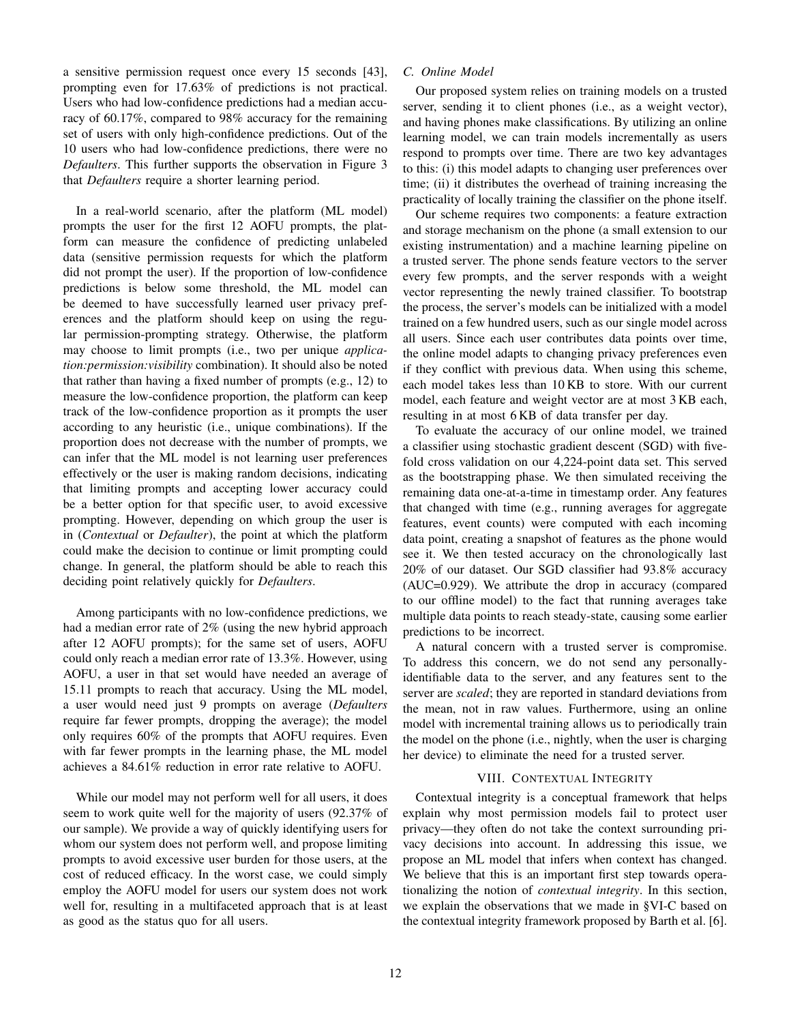a sensitive permission request once every 15 seconds [43], prompting even for 17.63% of predictions is not practical. Users who had low-confidence predictions had a median accuracy of 60.17%, compared to 98% accuracy for the remaining set of users with only high-confidence predictions. Out of the 10 users who had low-confidence predictions, there were no *Defaulters*. This further supports the observation in Figure 3 that *Defaulters* require a shorter learning period.

In a real-world scenario, after the platform (ML model) prompts the user for the first 12 AOFU prompts, the platform can measure the confidence of predicting unlabeled data (sensitive permission requests for which the platform did not prompt the user). If the proportion of low-confidence predictions is below some threshold, the ML model can be deemed to have successfully learned user privacy preferences and the platform should keep on using the regular permission-prompting strategy. Otherwise, the platform may choose to limit prompts (i.e., two per unique *application:permission:visibility* combination). It should also be noted that rather than having a fixed number of prompts (e.g., 12) to measure the low-confidence proportion, the platform can keep track of the low-confidence proportion as it prompts the user according to any heuristic (i.e., unique combinations). If the proportion does not decrease with the number of prompts, we can infer that the ML model is not learning user preferences effectively or the user is making random decisions, indicating that limiting prompts and accepting lower accuracy could be a better option for that specific user, to avoid excessive prompting. However, depending on which group the user is in (*Contextual* or *Defaulter*), the point at which the platform could make the decision to continue or limit prompting could change. In general, the platform should be able to reach this deciding point relatively quickly for *Defaulters*.

Among participants with no low-confidence predictions, we had a median error rate of 2% (using the new hybrid approach after 12 AOFU prompts); for the same set of users, AOFU could only reach a median error rate of 13.3%. However, using AOFU, a user in that set would have needed an average of 15.11 prompts to reach that accuracy. Using the ML model, a user would need just 9 prompts on average (*Defaulters* require far fewer prompts, dropping the average); the model only requires 60% of the prompts that AOFU requires. Even with far fewer prompts in the learning phase, the ML model achieves a 84.61% reduction in error rate relative to AOFU.

While our model may not perform well for all users, it does seem to work quite well for the majority of users (92.37% of our sample). We provide a way of quickly identifying users for whom our system does not perform well, and propose limiting prompts to avoid excessive user burden for those users, at the cost of reduced efficacy. In the worst case, we could simply employ the AOFU model for users our system does not work well for, resulting in a multifaceted approach that is at least as good as the status quo for all users.

# *C. Online Model*

Our proposed system relies on training models on a trusted server, sending it to client phones (i.e., as a weight vector), and having phones make classifications. By utilizing an online learning model, we can train models incrementally as users respond to prompts over time. There are two key advantages to this: (i) this model adapts to changing user preferences over time; (ii) it distributes the overhead of training increasing the practicality of locally training the classifier on the phone itself.

Our scheme requires two components: a feature extraction and storage mechanism on the phone (a small extension to our existing instrumentation) and a machine learning pipeline on a trusted server. The phone sends feature vectors to the server every few prompts, and the server responds with a weight vector representing the newly trained classifier. To bootstrap the process, the server's models can be initialized with a model trained on a few hundred users, such as our single model across all users. Since each user contributes data points over time, the online model adapts to changing privacy preferences even if they conflict with previous data. When using this scheme, each model takes less than 10 KB to store. With our current model, each feature and weight vector are at most 3 KB each, resulting in at most 6 KB of data transfer per day.

To evaluate the accuracy of our online model, we trained a classifier using stochastic gradient descent (SGD) with fivefold cross validation on our 4,224-point data set. This served as the bootstrapping phase. We then simulated receiving the remaining data one-at-a-time in timestamp order. Any features that changed with time (e.g., running averages for aggregate features, event counts) were computed with each incoming data point, creating a snapshot of features as the phone would see it. We then tested accuracy on the chronologically last 20% of our dataset. Our SGD classifier had 93.8% accuracy (AUC=0.929). We attribute the drop in accuracy (compared to our offline model) to the fact that running averages take multiple data points to reach steady-state, causing some earlier predictions to be incorrect.

A natural concern with a trusted server is compromise. To address this concern, we do not send any personallyidentifiable data to the server, and any features sent to the server are *scaled*; they are reported in standard deviations from the mean, not in raw values. Furthermore, using an online model with incremental training allows us to periodically train the model on the phone (i.e., nightly, when the user is charging her device) to eliminate the need for a trusted server.

## VIII. CONTEXTUAL INTEGRITY

Contextual integrity is a conceptual framework that helps explain why most permission models fail to protect user privacy—they often do not take the context surrounding privacy decisions into account. In addressing this issue, we propose an ML model that infers when context has changed. We believe that this is an important first step towards operationalizing the notion of *contextual integrity*. In this section, we explain the observations that we made in §VI-C based on the contextual integrity framework proposed by Barth et al. [6].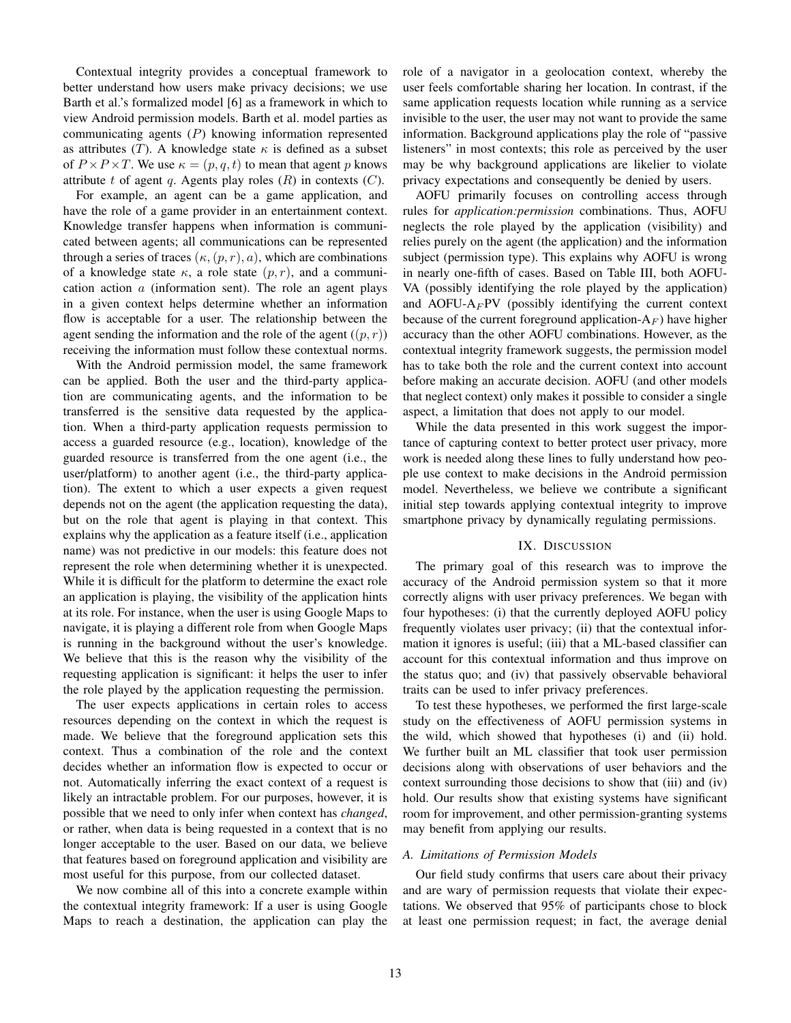Contextual integrity provides a conceptual framework to better understand how users make privacy decisions; we use Barth et al.'s formalized model [6] as a framework in which to view Android permission models. Barth et al. model parties as communicating agents (P) knowing information represented as attributes (T). A knowledge state  $\kappa$  is defined as a subset of  $P \times P \times T$ . We use  $\kappa = (p, q, t)$  to mean that agent p knows attribute t of agent q. Agents play roles  $(R)$  in contexts  $(C)$ .

For example, an agent can be a game application, and have the role of a game provider in an entertainment context. Knowledge transfer happens when information is communicated between agents; all communications can be represented through a series of traces  $(\kappa,(p,r),a)$ , which are combinations of a knowledge state  $\kappa$ , a role state  $(p, r)$ , and a communication action  $a$  (information sent). The role an agent plays in a given context helps determine whether an information flow is acceptable for a user. The relationship between the agent sending the information and the role of the agent  $((p, r))$ receiving the information must follow these contextual norms.

With the Android permission model, the same framework can be applied. Both the user and the third-party application are communicating agents, and the information to be transferred is the sensitive data requested by the application. When a third-party application requests permission to access a guarded resource (e.g., location), knowledge of the guarded resource is transferred from the one agent (i.e., the user/platform) to another agent (i.e., the third-party application). The extent to which a user expects a given request depends not on the agent (the application requesting the data), but on the role that agent is playing in that context. This explains why the application as a feature itself (i.e., application name) was not predictive in our models: this feature does not represent the role when determining whether it is unexpected. While it is difficult for the platform to determine the exact role an application is playing, the visibility of the application hints at its role. For instance, when the user is using Google Maps to navigate, it is playing a different role from when Google Maps is running in the background without the user's knowledge. We believe that this is the reason why the visibility of the requesting application is significant: it helps the user to infer the role played by the application requesting the permission.

The user expects applications in certain roles to access resources depending on the context in which the request is made. We believe that the foreground application sets this context. Thus a combination of the role and the context decides whether an information flow is expected to occur or not. Automatically inferring the exact context of a request is likely an intractable problem. For our purposes, however, it is possible that we need to only infer when context has *changed*, or rather, when data is being requested in a context that is no longer acceptable to the user. Based on our data, we believe that features based on foreground application and visibility are most useful for this purpose, from our collected dataset.

We now combine all of this into a concrete example within the contextual integrity framework: If a user is using Google Maps to reach a destination, the application can play the role of a navigator in a geolocation context, whereby the user feels comfortable sharing her location. In contrast, if the same application requests location while running as a service invisible to the user, the user may not want to provide the same information. Background applications play the role of "passive listeners" in most contexts; this role as perceived by the user may be why background applications are likelier to violate privacy expectations and consequently be denied by users.

AOFU primarily focuses on controlling access through rules for *application:permission* combinations. Thus, AOFU neglects the role played by the application (visibility) and relies purely on the agent (the application) and the information subject (permission type). This explains why AOFU is wrong in nearly one-fifth of cases. Based on Table III, both AOFU-VA (possibly identifying the role played by the application) and AOFU- $A_F$ PV (possibly identifying the current context because of the current foreground application- $A_F$ ) have higher accuracy than the other AOFU combinations. However, as the contextual integrity framework suggests, the permission model has to take both the role and the current context into account before making an accurate decision. AOFU (and other models that neglect context) only makes it possible to consider a single aspect, a limitation that does not apply to our model.

While the data presented in this work suggest the importance of capturing context to better protect user privacy, more work is needed along these lines to fully understand how people use context to make decisions in the Android permission model. Nevertheless, we believe we contribute a significant initial step towards applying contextual integrity to improve smartphone privacy by dynamically regulating permissions.

#### IX. DISCUSSION

The primary goal of this research was to improve the accuracy of the Android permission system so that it more correctly aligns with user privacy preferences. We began with four hypotheses: (i) that the currently deployed AOFU policy frequently violates user privacy; (ii) that the contextual information it ignores is useful; (iii) that a ML-based classifier can account for this contextual information and thus improve on the status quo; and (iv) that passively observable behavioral traits can be used to infer privacy preferences.

To test these hypotheses, we performed the first large-scale study on the effectiveness of AOFU permission systems in the wild, which showed that hypotheses (i) and (ii) hold. We further built an ML classifier that took user permission decisions along with observations of user behaviors and the context surrounding those decisions to show that (iii) and (iv) hold. Our results show that existing systems have significant room for improvement, and other permission-granting systems may benefit from applying our results.

#### *A. Limitations of Permission Models*

Our field study confirms that users care about their privacy and are wary of permission requests that violate their expectations. We observed that 95% of participants chose to block at least one permission request; in fact, the average denial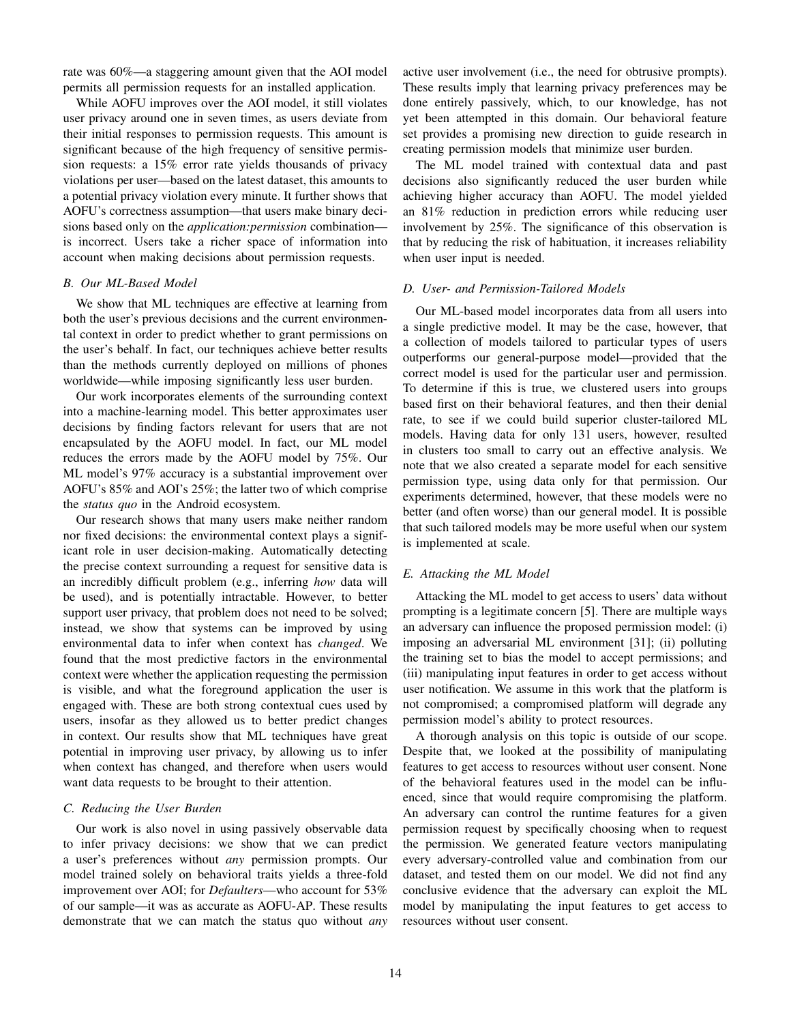rate was 60%—a staggering amount given that the AOI model permits all permission requests for an installed application.

While AOFU improves over the AOI model, it still violates user privacy around one in seven times, as users deviate from their initial responses to permission requests. This amount is significant because of the high frequency of sensitive permission requests: a 15% error rate yields thousands of privacy violations per user—based on the latest dataset, this amounts to a potential privacy violation every minute. It further shows that AOFU's correctness assumption—that users make binary decisions based only on the *application:permission* combination is incorrect. Users take a richer space of information into account when making decisions about permission requests.

## *B. Our ML-Based Model*

We show that ML techniques are effective at learning from both the user's previous decisions and the current environmental context in order to predict whether to grant permissions on the user's behalf. In fact, our techniques achieve better results than the methods currently deployed on millions of phones worldwide—while imposing significantly less user burden.

Our work incorporates elements of the surrounding context into a machine-learning model. This better approximates user decisions by finding factors relevant for users that are not encapsulated by the AOFU model. In fact, our ML model reduces the errors made by the AOFU model by 75%. Our ML model's 97% accuracy is a substantial improvement over AOFU's 85% and AOI's 25%; the latter two of which comprise the *status quo* in the Android ecosystem.

Our research shows that many users make neither random nor fixed decisions: the environmental context plays a significant role in user decision-making. Automatically detecting the precise context surrounding a request for sensitive data is an incredibly difficult problem (e.g., inferring *how* data will be used), and is potentially intractable. However, to better support user privacy, that problem does not need to be solved; instead, we show that systems can be improved by using environmental data to infer when context has *changed*. We found that the most predictive factors in the environmental context were whether the application requesting the permission is visible, and what the foreground application the user is engaged with. These are both strong contextual cues used by users, insofar as they allowed us to better predict changes in context. Our results show that ML techniques have great potential in improving user privacy, by allowing us to infer when context has changed, and therefore when users would want data requests to be brought to their attention.

### *C. Reducing the User Burden*

Our work is also novel in using passively observable data to infer privacy decisions: we show that we can predict a user's preferences without *any* permission prompts. Our model trained solely on behavioral traits yields a three-fold improvement over AOI; for *Defaulters*—who account for 53% of our sample—it was as accurate as AOFU-AP. These results demonstrate that we can match the status quo without *any* active user involvement (i.e., the need for obtrusive prompts). These results imply that learning privacy preferences may be done entirely passively, which, to our knowledge, has not yet been attempted in this domain. Our behavioral feature set provides a promising new direction to guide research in creating permission models that minimize user burden.

The ML model trained with contextual data and past decisions also significantly reduced the user burden while achieving higher accuracy than AOFU. The model yielded an 81% reduction in prediction errors while reducing user involvement by 25%. The significance of this observation is that by reducing the risk of habituation, it increases reliability when user input is needed.

#### *D. User- and Permission-Tailored Models*

Our ML-based model incorporates data from all users into a single predictive model. It may be the case, however, that a collection of models tailored to particular types of users outperforms our general-purpose model—provided that the correct model is used for the particular user and permission. To determine if this is true, we clustered users into groups based first on their behavioral features, and then their denial rate, to see if we could build superior cluster-tailored ML models. Having data for only 131 users, however, resulted in clusters too small to carry out an effective analysis. We note that we also created a separate model for each sensitive permission type, using data only for that permission. Our experiments determined, however, that these models were no better (and often worse) than our general model. It is possible that such tailored models may be more useful when our system is implemented at scale.

## *E. Attacking the ML Model*

Attacking the ML model to get access to users' data without prompting is a legitimate concern [5]. There are multiple ways an adversary can influence the proposed permission model: (i) imposing an adversarial ML environment [31]; (ii) polluting the training set to bias the model to accept permissions; and (iii) manipulating input features in order to get access without user notification. We assume in this work that the platform is not compromised; a compromised platform will degrade any permission model's ability to protect resources.

A thorough analysis on this topic is outside of our scope. Despite that, we looked at the possibility of manipulating features to get access to resources without user consent. None of the behavioral features used in the model can be influenced, since that would require compromising the platform. An adversary can control the runtime features for a given permission request by specifically choosing when to request the permission. We generated feature vectors manipulating every adversary-controlled value and combination from our dataset, and tested them on our model. We did not find any conclusive evidence that the adversary can exploit the ML model by manipulating the input features to get access to resources without user consent.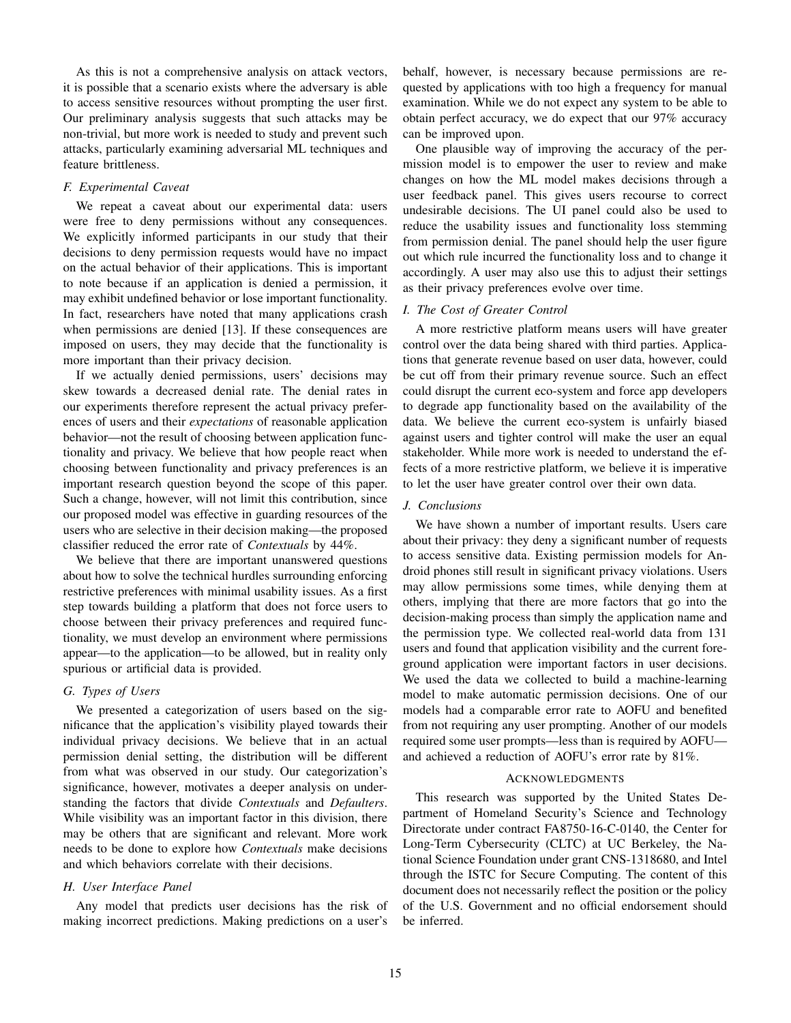As this is not a comprehensive analysis on attack vectors, it is possible that a scenario exists where the adversary is able to access sensitive resources without prompting the user first. Our preliminary analysis suggests that such attacks may be non-trivial, but more work is needed to study and prevent such attacks, particularly examining adversarial ML techniques and feature brittleness.

#### *F. Experimental Caveat*

We repeat a caveat about our experimental data: users were free to deny permissions without any consequences. We explicitly informed participants in our study that their decisions to deny permission requests would have no impact on the actual behavior of their applications. This is important to note because if an application is denied a permission, it may exhibit undefined behavior or lose important functionality. In fact, researchers have noted that many applications crash when permissions are denied [13]. If these consequences are imposed on users, they may decide that the functionality is more important than their privacy decision.

If we actually denied permissions, users' decisions may skew towards a decreased denial rate. The denial rates in our experiments therefore represent the actual privacy preferences of users and their *expectations* of reasonable application behavior—not the result of choosing between application functionality and privacy. We believe that how people react when choosing between functionality and privacy preferences is an important research question beyond the scope of this paper. Such a change, however, will not limit this contribution, since our proposed model was effective in guarding resources of the users who are selective in their decision making—the proposed classifier reduced the error rate of *Contextuals* by 44%.

We believe that there are important unanswered questions about how to solve the technical hurdles surrounding enforcing restrictive preferences with minimal usability issues. As a first step towards building a platform that does not force users to choose between their privacy preferences and required functionality, we must develop an environment where permissions appear—to the application—to be allowed, but in reality only spurious or artificial data is provided.

## *G. Types of Users*

We presented a categorization of users based on the significance that the application's visibility played towards their individual privacy decisions. We believe that in an actual permission denial setting, the distribution will be different from what was observed in our study. Our categorization's significance, however, motivates a deeper analysis on understanding the factors that divide *Contextuals* and *Defaulters*. While visibility was an important factor in this division, there may be others that are significant and relevant. More work needs to be done to explore how *Contextuals* make decisions and which behaviors correlate with their decisions.

# *H. User Interface Panel*

Any model that predicts user decisions has the risk of making incorrect predictions. Making predictions on a user's behalf, however, is necessary because permissions are requested by applications with too high a frequency for manual examination. While we do not expect any system to be able to obtain perfect accuracy, we do expect that our 97% accuracy can be improved upon.

One plausible way of improving the accuracy of the permission model is to empower the user to review and make changes on how the ML model makes decisions through a user feedback panel. This gives users recourse to correct undesirable decisions. The UI panel could also be used to reduce the usability issues and functionality loss stemming from permission denial. The panel should help the user figure out which rule incurred the functionality loss and to change it accordingly. A user may also use this to adjust their settings as their privacy preferences evolve over time.

#### *I. The Cost of Greater Control*

A more restrictive platform means users will have greater control over the data being shared with third parties. Applications that generate revenue based on user data, however, could be cut off from their primary revenue source. Such an effect could disrupt the current eco-system and force app developers to degrade app functionality based on the availability of the data. We believe the current eco-system is unfairly biased against users and tighter control will make the user an equal stakeholder. While more work is needed to understand the effects of a more restrictive platform, we believe it is imperative to let the user have greater control over their own data.

# *J. Conclusions*

We have shown a number of important results. Users care about their privacy: they deny a significant number of requests to access sensitive data. Existing permission models for Android phones still result in significant privacy violations. Users may allow permissions some times, while denying them at others, implying that there are more factors that go into the decision-making process than simply the application name and the permission type. We collected real-world data from 131 users and found that application visibility and the current foreground application were important factors in user decisions. We used the data we collected to build a machine-learning model to make automatic permission decisions. One of our models had a comparable error rate to AOFU and benefited from not requiring any user prompting. Another of our models required some user prompts—less than is required by AOFU and achieved a reduction of AOFU's error rate by 81%.

#### ACKNOWLEDGMENTS

This research was supported by the United States Department of Homeland Security's Science and Technology Directorate under contract FA8750-16-C-0140, the Center for Long-Term Cybersecurity (CLTC) at UC Berkeley, the National Science Foundation under grant CNS-1318680, and Intel through the ISTC for Secure Computing. The content of this document does not necessarily reflect the position or the policy of the U.S. Government and no official endorsement should be inferred.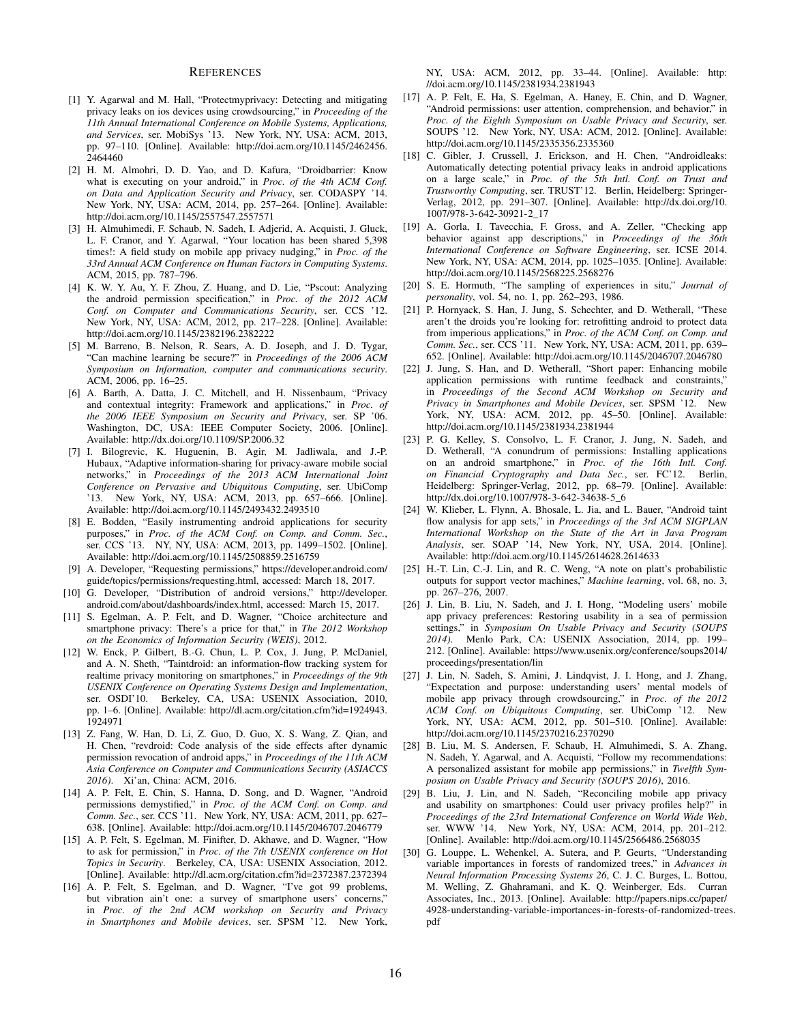#### **REFERENCES**

- [1] Y. Agarwal and M. Hall, "Protectmyprivacy: Detecting and mitigating privacy leaks on ios devices using crowdsourcing," in *Proceeding of the 11th Annual International Conference on Mobile Systems, Applications, and Services*, ser. MobiSys '13. New York, NY, USA: ACM, 2013, pp. 97–110. [Online]. Available: http://doi.acm.org/10.1145/2462456. <sub>2</sub><br>2464460
- [2] H. M. Almohri, D. D. Yao, and D. Kafura, "Droidbarrier: Know what is executing on your android," in *Proc. of the 4th ACM Conf. on Data and Application Security and Privacy*, ser. CODASPY '14. New York, NY, USA: ACM, 2014, pp. 257–264. [Online]. Available: http://doi.acm.org/10.1145/2557547.2557571
- [3] H. Almuhimedi, F. Schaub, N. Sadeh, I. Adjerid, A. Acquisti, J. Gluck, L. F. Cranor, and Y. Agarwal, "Your location has been shared 5,398 times!: A field study on mobile app privacy nudging," in *Proc. of the 33rd Annual ACM Conference on Human Factors in Computing Systems*. ACM, 2015, pp. 787–796.
- [4] K. W. Y. Au, Y. F. Zhou, Z. Huang, and D. Lie, "Pscout: Analyzing the android permission specification," in *Proc. of the 2012 ACM Conf. on Computer and Communications Security*, ser. CCS '12. New York, NY, USA: ACM, 2012, pp. 217–228. [Online]. Available: http://doi.acm.org/10.1145/2382196.2382222
- [5] M. Barreno, B. Nelson, R. Sears, A. D. Joseph, and J. D. Tygar, "Can machine learning be secure?" in *Proceedings of the 2006 ACM Symposium on Information, computer and communications security*. ACM, 2006, pp. 16–25.
- [6] A. Barth, A. Datta, J. C. Mitchell, and H. Nissenbaum, "Privacy and contextual integrity: Framework and applications," in *Proc. of the 2006 IEEE Symposium on Security and Privacy*, ser. SP '06. Washington, DC, USA: IEEE Computer Society, 2006. [Online]. Available: http://dx.doi.org/10.1109/SP.2006.32
- [7] I. Bilogrevic, K. Huguenin, B. Agir, M. Jadliwala, and J.-P. Hubaux, "Adaptive information-sharing for privacy-aware mobile social networks," in *Proceedings of the 2013 ACM International Joint Conference on Pervasive and Ubiquitous Computing*, ser. UbiComp '13. New York, NY, USA: ACM, 2013, pp. 657–666. [Online]. Available: http://doi.acm.org/10.1145/2493432.2493510
- [8] E. Bodden, "Easily instrumenting android applications for security purposes," in *Proc. of the ACM Conf. on Comp. and Comm. Sec.*, ser. CCS '13. NY, NY, USA: ACM, 2013, pp. 1499–1502. [Online]. Available: http://doi.acm.org/10.1145/2508859.2516759
- [9] A. Developer, "Requesting permissions," https://developer.android.com/ guide/topics/permissions/requesting.html, accessed: March 18, 2017.
- [10] G. Developer, "Distribution of android versions," http://developer. android.com/about/dashboards/index.html, accessed: March 15, 2017.
- [11] S. Egelman, A. P. Felt, and D. Wagner, "Choice architecture and smartphone privacy: There's a price for that," in *The 2012 Workshop on the Economics of Information Security (WEIS)*, 2012.
- [12] W. Enck, P. Gilbert, B.-G. Chun, L. P. Cox, J. Jung, P. McDaniel, and A. N. Sheth, "Taintdroid: an information-flow tracking system for realtime privacy monitoring on smartphones," in *Proceedings of the 9th USENIX Conference on Operating Systems Design and Implementation*, ser. OSDI'10. Berkeley, CA, USA: USENIX Association, 2010, pp. 1–6. [Online]. Available: http://dl.acm.org/citation.cfm?id=1924943. 1924971
- [13] Z. Fang, W. Han, D. Li, Z. Guo, D. Guo, X. S. Wang, Z. Qian, and H. Chen, "revdroid: Code analysis of the side effects after dynamic permission revocation of android apps," in *Proceedings of the 11th ACM Asia Conference on Computer and Communications Security (ASIACCS 2016)*. Xi'an, China: ACM, 2016.
- [14] A. P. Felt, E. Chin, S. Hanna, D. Song, and D. Wagner, "Android permissions demystified," in *Proc. of the ACM Conf. on Comp. and Comm. Sec.*, ser. CCS '11. New York, NY, USA: ACM, 2011, pp. 627– 638. [Online]. Available: http://doi.acm.org/10.1145/2046707.2046779
- [15] A. P. Felt, S. Egelman, M. Finifter, D. Akhawe, and D. Wagner, "How to ask for permission," in *Proc. of the 7th USENIX conference on Hot Topics in Security*. Berkeley, CA, USA: USENIX Association, 2012. [Online]. Available: http://dl.acm.org/citation.cfm?id=2372387.2372394
- [16] A. P. Felt, S. Egelman, and D. Wagner, "I've got 99 problems, but vibration ain't one: a survey of smartphone users' concerns," in *Proc. of the 2nd ACM workshop on Security and Privacy in Smartphones and Mobile devices*, ser. SPSM '12. New York,

NY, USA: ACM, 2012, pp. 33–44. [Online]. Available: http: //doi.acm.org/10.1145/2381934.2381943

- [17] A. P. Felt, E. Ha, S. Egelman, A. Haney, E. Chin, and D. Wagner, "Android permissions: user attention, comprehension, and behavior," in *Proc. of the Eighth Symposium on Usable Privacy and Security*, ser. SOUPS '12. New York, NY, USA: ACM, 2012. [Online]. Available: http://doi.acm.org/10.1145/2335356.2335360
- [18] C. Gibler, J. Crussell, J. Erickson, and H. Chen, "Androidleaks: Automatically detecting potential privacy leaks in android applications on a large scale," in *Proc. of the 5th Intl. Conf. on Trust and Trustworthy Computing*, ser. TRUST'12. Berlin, Heidelberg: Springer-Verlag, 2012, pp. 291–307. [Online]. Available: http://dx.doi.org/10. 1007/978-3-642-30921-2\_17
- [19] A. Gorla, I. Tavecchia, F. Gross, and A. Zeller, "Checking app behavior against app descriptions," in *Proceedings of the 36th International Conference on Software Engineering*, ser. ICSE 2014. New York, NY, USA: ACM, 2014, pp. 1025–1035. [Online]. Available: http://doi.acm.org/10.1145/2568225.2568276
- [20] S. E. Hormuth, "The sampling of experiences in situ," *Journal of personality*, vol. 54, no. 1, pp. 262–293, 1986.
- [21] P. Hornyack, S. Han, J. Jung, S. Schechter, and D. Wetherall, "These aren't the droids you're looking for: retrofitting android to protect data from imperious applications," in *Proc. of the ACM Conf. on Comp. and Comm. Sec.*, ser. CCS '11. New York, NY, USA: ACM, 2011, pp. 639– 652. [Online]. Available: http://doi.acm.org/10.1145/2046707.2046780
- [22] J. Jung, S. Han, and D. Wetherall, "Short paper: Enhancing mobile application permissions with runtime feedback and constraints," in *Proceedings of the Second ACM Workshop on Security and Privacy in Smartphones and Mobile Devices*, ser. SPSM '12. New York, NY, USA: ACM, 2012, pp. 45–50. [Online]. Available: http://doi.acm.org/10.1145/2381934.2381944
- [23] P. G. Kelley, S. Consolvo, L. F. Cranor, J. Jung, N. Sadeh, and D. Wetherall, "A conundrum of permissions: Installing applications on an android smartphone," in *Proc. of the 16th Intl. Conf. on Financial Cryptography and Data Sec.*, ser. FC'12. Berlin, Heidelberg: Springer-Verlag, 2012, pp. 68–79. [Online]. Available: http://dx.doi.org/10.1007/978-3-642-34638-5\_6
- [24] W. Klieber, L. Flynn, A. Bhosale, L. Jia, and L. Bauer, "Android taint flow analysis for app sets," in *Proceedings of the 3rd ACM SIGPLAN International Workshop on the State of the Art in Java Program Analysis*, ser. SOAP '14, New York, NY, USA, 2014. [Online]. Available: http://doi.acm.org/10.1145/2614628.2614633
- [25] H.-T. Lin, C.-J. Lin, and R. C. Weng, "A note on platt's probabilistic outputs for support vector machines," *Machine learning*, vol. 68, no. 3, pp. 267–276, 2007.
- [26] J. Lin, B. Liu, N. Sadeh, and J. I. Hong, "Modeling users' mobile app privacy preferences: Restoring usability in a sea of permission settings," in *Symposium On Usable Privacy and Security (SOUPS 2014)*. Menlo Park, CA: USENIX Association, 2014, pp. 199– 212. [Online]. Available: https://www.usenix.org/conference/soups2014/ proceedings/presentation/lin
- [27] J. Lin, N. Sadeh, S. Amini, J. Lindqvist, J. I. Hong, and J. Zhang, "Expectation and purpose: understanding users' mental models of mobile app privacy through crowdsourcing," in *Proc. of the 2012 ACM Conf. on Ubiquitous Computing*, ser. UbiComp '12. New York, NY, USA: ACM, 2012, pp. 501–510. [Online]. Available: http://doi.acm.org/10.1145/2370216.2370290
- [28] B. Liu, M. S. Andersen, F. Schaub, H. Almuhimedi, S. A. Zhang, N. Sadeh, Y. Agarwal, and A. Acquisti, "Follow my recommendations: A personalized assistant for mobile app permissions," in *Twelfth Symposium on Usable Privacy and Security (SOUPS 2016)*, 2016.
- [29] B. Liu, J. Lin, and N. Sadeh, "Reconciling mobile app privacy and usability on smartphones: Could user privacy profiles help?" in *Proceedings of the 23rd International Conference on World Wide Web*, ser. WWW '14. New York, NY, USA: ACM, 2014, pp. 201–212. [Online]. Available: http://doi.acm.org/10.1145/2566486.2568035
- [30] G. Louppe, L. Wehenkel, A. Sutera, and P. Geurts, "Understanding variable importances in forests of randomized trees," in *Advances in Neural Information Processing Systems 26*, C. J. C. Burges, L. Bottou, M. Welling, Z. Ghahramani, and K. Q. Weinberger, Eds. Curran Associates, Inc., 2013. [Online]. Available: http://papers.nips.cc/paper/ 4928-understanding-variable-importances-in-forests-of-randomized-trees. pdf